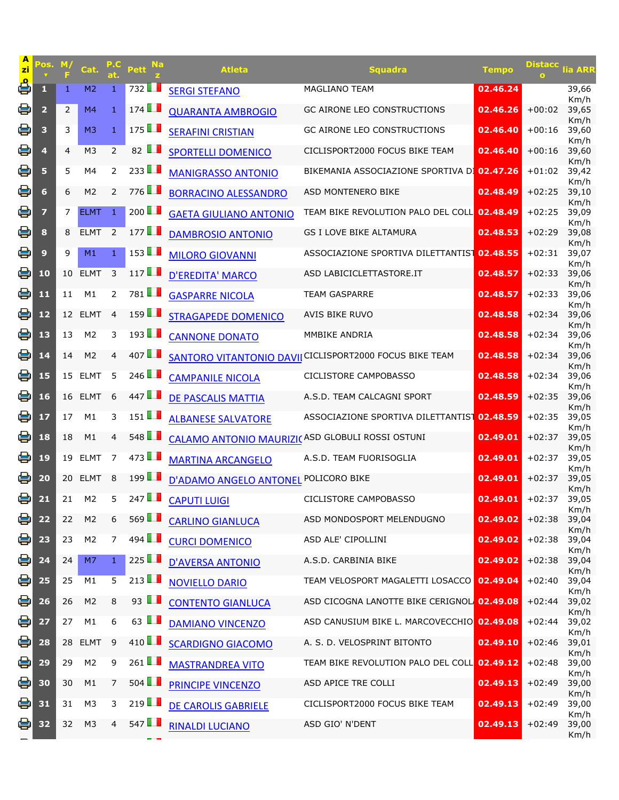| A<br>zi | 'OS.                    | M,<br>E | Cat.           | at.            | <b>Na</b><br><b>Pett</b> | <b>Atleta</b>                                   | Squadra                                                 | Tempo    | <b>Distacc</b> | lia ARF       |
|---------|-------------------------|---------|----------------|----------------|--------------------------|-------------------------------------------------|---------------------------------------------------------|----------|----------------|---------------|
| 횹       | 1                       | 1       | M <sub>2</sub> | 1              | 732                      | <b>SERGI STEFANO</b>                            | MAGLIANO TEAM                                           | 02.46.24 |                | 39,66<br>Km/h |
| 을       | $\overline{\mathbf{2}}$ | 2       | M <sub>4</sub> | $\mathbf{1}$   | 174                      | <b>QUARANTA AMBROGIO</b>                        | GC AIRONE LEO CONSTRUCTIONS                             | 02.46.26 | $+00:02$       | 39,65<br>Km/h |
| 용       | 3                       | 3       | M <sub>3</sub> | $\mathbf{1}$   | 175                      | <b>SERAFINI CRISTIAN</b>                        | <b>GC AIRONE LEO CONSTRUCTIONS</b>                      | 02.46.40 | $+00:16$       | 39,60<br>Km/h |
| e       | 4                       | 4       | M <sub>3</sub> | $\overline{2}$ | 82 $\blacksquare$        | <b>SPORTELLI DOMENICO</b>                       | CICLISPORT2000 FOCUS BIKE TEAM                          | 02.46.40 | $+00:16$       | 39,60<br>Km/h |
| e       | 5                       | 5       | M4             | $\overline{2}$ | 233                      | <b>MANIGRASSO ANTONIO</b>                       | BIKEMANIA ASSOCIAZIONE SPORTIVA DO 02.47.26             |          | $+01:02$       | 39,42<br>Km/h |
| 을       | 6                       | 6       | M <sub>2</sub> | 2              | 776 <b>1</b>             | <b>BORRACINO ALESSANDRO</b>                     | ASD MONTENERO BIKE                                      | 02.48.49 | $+02:25$       | 39,10<br>Km/h |
| 용       | 7                       | 7       | <b>ELMT</b>    | 1              | 200 $\blacksquare$       | <b>GAETA GIULIANO ANTONIO</b>                   | TEAM BIKE REVOLUTION PALO DEL COLL 02.48.49             |          | $+02:25$       | 39,09<br>Km/h |
| 용       | 8                       | 8       | <b>ELMT</b>    | 2              | 177                      | <b>DAMBROSIO ANTONIO</b>                        | GS I LOVE BIKE ALTAMURA                                 | 02.48.53 | $+02:29$       | 39,08<br>Km/h |
| 용       | 9                       | 9       | M1             | $\mathbf{1}$   | 153                      | <b>MILORO GIOVANNI</b>                          | ASSOCIAZIONE SPORTIVA DILETTANTIST                      | 02.48.55 | $+02:31$       | 39,07<br>Km/h |
| 용       | 10                      | 10      | <b>ELMT</b>    | 3              | 117                      | <b>D'EREDITA' MARCO</b>                         | ASD LABICICLETTASTORE.IT                                | 02.48.57 | $+02:33$       | 39,06<br>Km/h |
| 용       | 11                      | 11      | M1             | 2              | 781                      | <b>GASPARRE NICOLA</b>                          | <b>TEAM GASPARRE</b>                                    | 02.48.57 | $+02:33$       | 39,06<br>Km/h |
| 용       | 12                      | 12      | <b>ELMT</b>    | $\overline{4}$ | $159$ $\blacksquare$     | <b>STRAGAPEDE DOMENICO</b>                      | <b>AVIS BIKE RUVO</b>                                   | 02.48.58 | $+02:34$       | 39,06<br>Km/h |
| 을       | 13                      | 13      | M <sub>2</sub> | 3              | 193                      | <b>CANNONE DONATO</b>                           | MMBIKE ANDRIA                                           | 02.48.58 | $+02:34$       | 39,06<br>Km/h |
| 을       | 14                      | 14      | M <sub>2</sub> | 4              | 407                      |                                                 | SANTORO VITANTONIO DAVII CICLISPORT2000 FOCUS BIKE TEAM | 02.48.58 | $+02:34$       | 39,06<br>Km/h |
| 을       | 15                      | 15      | <b>ELMT</b>    | 5              | 246 $\Box$               | <b>CAMPANILE NICOLA</b>                         | <b>CICLISTORE CAMPOBASSO</b>                            | 02.48.58 | $+02:34$       | 39,06<br>Km/h |
| 을       | 16                      | 16      | <b>ELMT</b>    | 6              | 447                      | <b>DE PASCALIS MATTIA</b>                       | A.S.D. TEAM CALCAGNI SPORT                              | 02.48.59 | $+02:35$       | 39,06<br>Km/h |
| 용       | 17                      | 17      | M1             | 3              | $151$ $\blacksquare$     | <b>ALBANESE SALVATORE</b>                       | ASSOCIAZIONE SPORTIVA DILETTANTIST                      | 02.48.59 | $+02:35$       | 39,05<br>Km/h |
| 을       | 18                      | 18      | M1             | $\overline{4}$ | 548                      | CALAMO ANTONIO MAURIZI(ASD GLOBULI ROSSI OSTUNI |                                                         | 02.49.01 | $+02:37$       | 39,05<br>Km/h |
| 을       | 19                      | 19      | <b>ELMT</b>    | 7              | 473                      | <b>MARTINA ARCANGELO</b>                        | A.S.D. TEAM FUORISOGLIA                                 | 02.49.01 | $+02:37$       | 39,05<br>Km/h |
| 을       | 20                      | 20      | <b>ELMT</b>    | 8              | 199                      | <b>D'ADAMO ANGELO ANTONEL</b>                   | POLICORO BIKE                                           | 02.49.01 | $+02:37$       | 39,05<br>Km/h |
| 을       | 21                      | 21      | M <sub>2</sub> | 5              | 247                      | <b>CAPUTI LUIGI</b>                             | CICLISTORE CAMPOBASSO                                   | 02.49.01 | $+02:37$       | 39,05<br>Km/h |
| 봉       | 22                      | 22      | M <sub>2</sub> | 6              | $569$ $\blacksquare$     | <b>CARLINO GIANLUCA</b>                         | ASD MONDOSPORT MELENDUGNO                               | 02.49.02 | $+02:38$       | 39,04<br>Km/h |
| 을       | 23                      | 23      | M <sub>2</sub> | $\overline{7}$ | 494 $\blacksquare$       | <b>CURCI DOMENICO</b>                           | ASD ALE' CIPOLLINI                                      | 02.49.02 | $+02:38$       | 39,04<br>Km/h |
| 봉       | 24                      | 24      | M7             | $\mathbf{1}$   | 225                      | <b>D'AVERSA ANTONIO</b>                         | A.S.D. CARBINIA BIKE                                    | 02.49.02 | $+02:38$       | 39,04<br>Km/h |
| 을       | 25                      | 25      | M1             | 5              | 213 $\blacksquare$       | <b>NOVIELLO DARIO</b>                           | <b>TEAM VELOSPORT MAGALETTI LOSACCO</b>                 | 02.49.04 | $+02:40$       | 39,04<br>Km/h |
| 을       | 26                      | 26      | M <sub>2</sub> | 8              | 93 $\blacksquare$        | <b>CONTENTO GIANLUCA</b>                        | ASD CICOGNA LANOTTE BIKE CERIGNOL 02.49.08              |          | $+02:44$       | 39,02<br>Km/h |
| 용       | 27                      | 27      | M1             | 6              | 63 $\blacksquare$        | <b>DAMIANO VINCENZO</b>                         | ASD CANUSIUM BIKE L. MARCOVECCHIO 02.49.08              |          | $+02:44$       | 39,02<br>Km/h |
| 을       | 28                      | 28      | <b>ELMT</b>    | 9              | 410 $\Box$               | <b>SCARDIGNO GIACOMO</b>                        | A. S. D. VELOSPRINT BITONTO                             | 02.49.10 | $+02:46$       | 39,01<br>Km/h |
| 을       | 29                      | 29      | M <sub>2</sub> | 9              | 261 $\blacksquare$       | <b>MASTRANDREA VITO</b>                         | TEAM BIKE REVOLUTION PALO DEL COLL 02.49.12             |          | $+02:48$       | 39,00<br>Km/h |
| e       | 30                      | 30      | M1             | 7              | 504                      | <b>PRINCIPE VINCENZO</b>                        | ASD APICE TRE COLLI                                     | 02.49.13 | $+02:49$       | 39,00<br>Km/h |
| 을       | 31                      | 31      | M <sub>3</sub> | 3              | 219                      | <b>DE CAROLIS GABRIELE</b>                      | CICLISPORT2000 FOCUS BIKE TEAM                          | 02.49.13 | $+02:49$       | 39,00<br>Km/h |
| 을       | 32                      | 32      | M <sub>3</sub> | 4              | 547                      | <b>RINALDI LUCIANO</b>                          | ASD GIO' N'DENT                                         | 02.49.13 | $+02:49$       | 39,00<br>Km/h |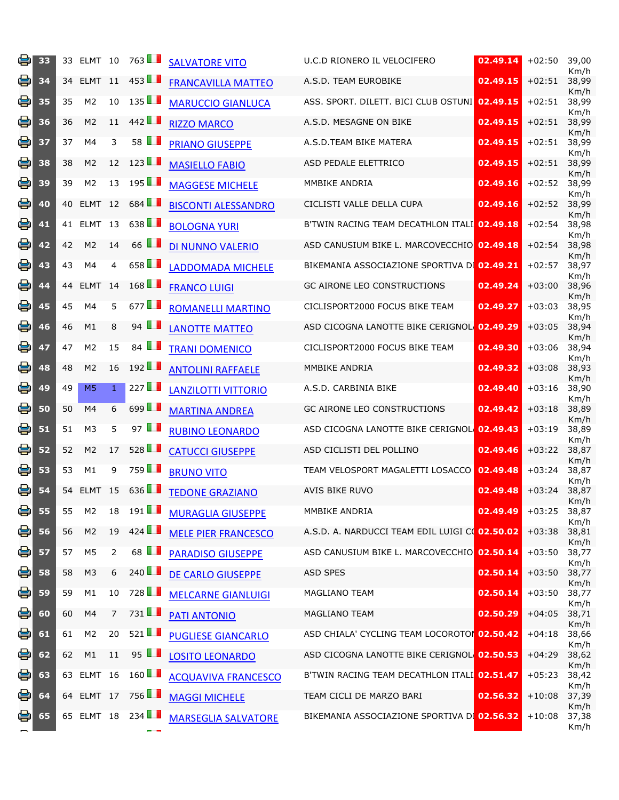| e | 33 |    | 33 ELMT 10     |                | 763                  | <b>SALVATORE VITO</b>      | U.C.D RIONERO IL VELOCIFERO                    | 02.49.14 | $+02:50$ | 39,00<br>Km/h |
|---|----|----|----------------|----------------|----------------------|----------------------------|------------------------------------------------|----------|----------|---------------|
| e | 34 |    | 34 ELMT 11     |                | 453 $\Box$           | <b>FRANCAVILLA MATTEO</b>  | A.S.D. TEAM EUROBIKE                           | 02.49.15 | $+02:51$ | 38,99<br>Km/h |
| 용 | 35 | 35 | M <sub>2</sub> | 10             | 135                  | <b>MARUCCIO GIANLUCA</b>   | ASS. SPORT. DILETT. BICI CLUB OSTUNI 02.49.15  |          | $+02:51$ | 38,99<br>Km/h |
| e | 36 | 36 | M <sub>2</sub> | 11             | 442                  | <b>RIZZO MARCO</b>         | A.S.D. MESAGNE ON BIKE                         | 02.49.15 | $+02:51$ | 38,99<br>Km/h |
| 을 | 37 | 37 | M4             | 3              | 58 <b>1</b>          | <b>PRIANO GIUSEPPE</b>     | A.S.D.TEAM BIKE MATERA                         | 02.49.15 | $+02:51$ | 38,99<br>Km/h |
| 용 | 38 | 38 | M <sub>2</sub> | 12             | 123                  | <b>MASIELLO FABIO</b>      | ASD PEDALE ELETTRICO                           | 02.49.15 | $+02:51$ | 38,99<br>Km/h |
| 을 | 39 | 39 | M <sub>2</sub> | 13             | $195$ $\Box$         | <b>MAGGESE MICHELE</b>     | MMBIKE ANDRIA                                  | 02.49.16 | $+02:52$ | 38,99<br>Km/h |
| e | 40 | 40 | ELMT 12        |                | 684                  | <b>BISCONTI ALESSANDRO</b> | CICLISTI VALLE DELLA CUPA                      | 02.49.16 | $+02:52$ | 38,99<br>Km/h |
| e | 41 |    | 41 ELMT 13     |                | 638                  | <b>BOLOGNA YURI</b>        | B'TWIN RACING TEAM DECATHLON ITALI 02.49.18    |          | $+02:54$ | 38,98<br>Km/h |
| 을 | 42 | 42 | M <sub>2</sub> | 14             | 66 $\Box$            | DI NUNNO VALERIO           | ASD CANUSIUM BIKE L. MARCOVECCHIO 02.49.18     |          | $+02:54$ | 38,98<br>Km/h |
| 을 | 43 | 43 | M4             | $\overline{4}$ | 658 $\blacksquare$   | <b>LADDOMADA MICHELE</b>   | BIKEMANIA ASSOCIAZIONE SPORTIVA DI 02.49.21    |          | $+02:57$ | 38,97<br>Km/h |
| e | 44 | 44 | <b>ELMT</b>    | 14             | 168                  | <b>FRANCO LUIGI</b>        | <b>GC AIRONE LEO CONSTRUCTIONS</b>             | 02.49.24 | $+03:00$ | 38,96<br>Km/h |
| 을 | 45 | 45 | M4             | 5              | 677                  | <b>ROMANELLI MARTINO</b>   | CICLISPORT2000 FOCUS BIKE TEAM                 | 02.49.27 | $+03:03$ | 38,95<br>Km/h |
| e | 46 | 46 | M1             | 8              | 94 $\Box$            | <b>LANOTTE MATTEO</b>      | ASD CICOGNA LANOTTE BIKE CERIGNOL 02.49.29     |          | $+03:05$ | 38,94<br>Km/h |
| 을 | 47 | 47 | M <sub>2</sub> | 15             | 84 $\blacksquare$    | <b>TRANI DOMENICO</b>      | CICLISPORT2000 FOCUS BIKE TEAM                 | 02.49.30 | $+03:06$ | 38,94<br>Km/h |
| e | 48 | 48 | M <sub>2</sub> | 16             | 192                  | <b>ANTOLINI RAFFAELE</b>   | MMBIKE ANDRIA                                  | 02.49.32 | $+03:08$ | 38,93<br>Km/h |
| e | 49 | 49 | M <sub>5</sub> | $\mathbf{1}$   | 227                  | <b>LANZILOTTI VITTORIO</b> | A.S.D. CARBINIA BIKE                           | 02.49.40 | $+03:16$ | 38,90<br>Km/h |
| 용 | 50 | 50 | M4             | 6              | 699                  | <b>MARTINA ANDREA</b>      | <b>GC AIRONE LEO CONSTRUCTIONS</b>             | 02.49.42 | $+03:18$ | 38,89<br>Km/h |
| 을 | 51 | 51 | M <sub>3</sub> | 5              | 97 $\blacksquare$    | <b>RUBINO LEONARDO</b>     | ASD CICOGNA LANOTTE BIKE CERIGNOL 02.49.43     |          | $+03:19$ | 38,89<br>Km/h |
| e | 52 | 52 | M <sub>2</sub> | 17             | 528                  | <b>CATUCCI GIUSEPPE</b>    | ASD CICLISTI DEL POLLINO                       | 02.49.46 | $+03:22$ | 38,87<br>Km/h |
| 을 | 53 | 53 | M1             | 9              | 759LL                | <b>BRUNO VITO</b>          | TEAM VELOSPORT MAGALETTI LOSACCO               | 02.49.48 | $+03:24$ | 38,87<br>Km/h |
| 용 | 54 |    | 54 ELMT 15     |                | 636 $\Box$           | <b>TEDONE GRAZIANO</b>     | AVIS BIKE RUVO                                 | 02.49.48 | $+03:24$ | 38,87<br>Km/h |
| 볼 | 55 | 55 | M <sub>2</sub> | 18             | $191$ $\blacksquare$ | <b>MURAGLIA GIUSEPPE</b>   | MMBIKE ANDRIA                                  | 02.49.49 | $+03:25$ | 38,87<br>Km/h |
| 8 | 56 | 56 | M <sub>2</sub> | 19             | 424                  | <b>MELE PIER FRANCESCO</b> | A.S.D. A. NARDUCCI TEAM EDIL LUIGI CO 02.50.02 |          | $+03:38$ | 38,81<br>Km/h |
| e | 57 | 57 | M <sub>5</sub> | $\overline{2}$ | 68 <b>1</b>          | <b>PARADISO GIUSEPPE</b>   | ASD CANUSIUM BIKE L. MARCOVECCHIO 02.50.14     |          | $+03:50$ | 38,77<br>Km/h |
| 을 | 58 | 58 | M3             | 6              | 240 $\blacksquare$   | <b>DE CARLO GIUSEPPE</b>   | <b>ASD SPES</b>                                | 02.50.14 | $+03:50$ | 38,77<br>Km/h |
| e | 59 | 59 | M1             | 10             | 728                  | <b>MELCARNE GIANLUIGI</b>  | MAGLIANO TEAM                                  | 02.50.14 | $+03:50$ | 38,77<br>Km/h |
| 을 | 60 | 60 | M4             | $\overline{7}$ | 731                  | <b>PATI ANTONIO</b>        | <b>MAGLIANO TEAM</b>                           | 02.50.29 | $+04:05$ | 38,71<br>Km/h |
| 용 | 61 | 61 | M <sub>2</sub> | 20             | 521                  | <b>PUGLIESE GIANCARLO</b>  | ASD CHIALA' CYCLING TEAM LOCOROTO 02.50.42     |          | $+04:18$ | 38,66<br>Km/h |
| e | 62 | 62 | M1             | 11             | 95 $\Box$            | <b>LOSITO LEONARDO</b>     | ASD CICOGNA LANOTTE BIKE CERIGNOL 02.50.53     |          | $+04:29$ | 38,62<br>Km/h |
| e | 63 |    | 63 ELMT 16     |                | $160$ $\blacksquare$ | <b>ACQUAVIVA FRANCESCO</b> | B'TWIN RACING TEAM DECATHLON ITALI 02.51.47    |          | $+05:23$ | 38,42<br>Km/h |
| 용 | 64 |    | 64 ELMT 17     |                | 756                  | <b>MAGGI MICHELE</b>       | TEAM CICLI DE MARZO BARI                       | 02.56.32 | $+10:08$ | 37,39<br>Km/h |
| е | 65 |    | 65 ELMT 18     |                | 234 $\blacksquare$   | <b>MARSEGLIA SALVATORE</b> | BIKEMANIA ASSOCIAZIONE SPORTIVA DI 02.56.32    |          | $+10:08$ | 37,38<br>Km/h |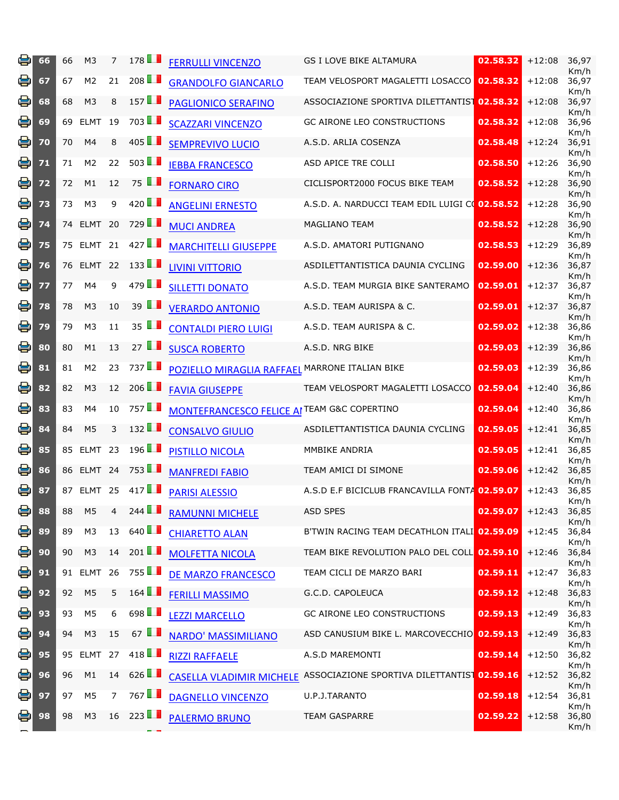| e | 66 | 66 | M <sub>3</sub> | 7              | 178                  | <b>FERRULLI VINCENZO</b>                               | GS I LOVE BIKE ALTAMURA                                              | 02.58.32 | $+12:08$ | 36,97<br>Km/h |
|---|----|----|----------------|----------------|----------------------|--------------------------------------------------------|----------------------------------------------------------------------|----------|----------|---------------|
| 을 | 67 | 67 | M <sub>2</sub> | 21             | 208                  | <b>GRANDOLFO GIANCARLO</b>                             | TEAM VELOSPORT MAGALETTI LOSACCO                                     | 02.58.32 | $+12:08$ | 36,97<br>Km/h |
| e | 68 | 68 | M <sub>3</sub> | 8              | 157                  | <b>PAGLIONICO SERAFINO</b>                             | ASSOCIAZIONE SPORTIVA DILETTANTIST 02.58.32                          |          | $+12:08$ | 36,97<br>Km/h |
| e | 69 | 69 | <b>ELMT</b>    | 19             | 703 <b>1</b>         | <b>SCAZZARI VINCENZO</b>                               | <b>GC AIRONE LEO CONSTRUCTIONS</b>                                   | 02.58.32 | $+12:08$ | 36,96<br>Km/h |
| e | 70 | 70 | M <sub>4</sub> | 8              | 405                  | <b>SEMPREVIVO LUCIO</b>                                | A.S.D. ARLIA COSENZA                                                 | 02.58.48 | $+12:24$ | 36,91<br>Km/h |
| 을 | 71 | 71 | M <sub>2</sub> | 22             | 503                  | <b>IEBBA FRANCESCO</b>                                 | ASD APICE TRE COLLI                                                  | 02.58.50 | $+12:26$ | 36,90<br>Km/h |
| 을 | 72 | 72 | M1             | 12             | 75 $\blacksquare$    | <b>FORNARO CIRO</b>                                    | CICLISPORT2000 FOCUS BIKE TEAM                                       | 02.58.52 | $+12:28$ | 36,90<br>Km/h |
| 을 | 73 | 73 | M <sub>3</sub> | 9              | 420 $\blacksquare$   | <b>ANGELINI ERNESTO</b>                                | A.S.D. A. NARDUCCI TEAM EDIL LUIGI CO 02.58.52                       |          | $+12:28$ | 36,90<br>Km/h |
| e | 74 |    | 74 ELMT 20     |                | 729                  | <b>MUCI ANDREA</b>                                     | <b>MAGLIANO TEAM</b>                                                 | 02.58.52 | $+12:28$ | 36,90<br>Km/h |
| 을 | 75 |    | 75 ELMT 21     |                | 427                  | <b>MARCHITELLI GIUSEPPE</b>                            | A.S.D. AMATORI PUTIGNANO                                             | 02.58.53 | $+12:29$ | 36,89<br>Km/h |
| e | 76 | 76 | ELMT 22        |                | 133                  | <b>LIVINI VITTORIO</b>                                 | ASDILETTANTISTICA DAUNIA CYCLING                                     | 02.59.00 | $+12:36$ | 36,87<br>Km/h |
| 을 | 77 | 77 | M4             | 9              | 479                  | <b>SILLETTI DONATO</b>                                 | A.S.D. TEAM MURGIA BIKE SANTERAMO                                    | 02.59.01 | $+12:37$ | 36,87<br>Km/h |
| 을 | 78 | 78 | M <sub>3</sub> | 10             | 39 $\blacksquare$    | <b>VERARDO ANTONIO</b>                                 | A.S.D. TEAM AURISPA & C.                                             | 02.59.01 | $+12:37$ | 36,87<br>Km/h |
| 을 | 79 | 79 | M <sub>3</sub> | 11             | 35 $\blacksquare$    | <b>CONTALDI PIERO LUIGI</b>                            | A.S.D. TEAM AURISPA & C.                                             | 02.59.02 | $+12:38$ | 36,86<br>Km/h |
| e | 80 | 80 | M1             | 13             | 27 $\blacksquare$    | <b>SUSCA ROBERTO</b>                                   | A.S.D. NRG BIKE                                                      | 02.59.03 | $+12:39$ | 36,86<br>Km/h |
| 을 | 81 | 81 | M <sub>2</sub> | 23             | 737                  | POZIELLO MIRAGLIA RAFFAEL MARRONE ITALIAN BIKE         |                                                                      | 02.59.03 | $+12:39$ | 36,86<br>Km/h |
| 용 | 82 | 82 | M <sub>3</sub> | 12             | 206 $\blacksquare$   | <b>FAVIA GIUSEPPE</b>                                  | TEAM VELOSPORT MAGALETTI LOSACCO                                     | 02.59.04 | $+12:40$ | 36,86<br>Km/h |
| 을 | 83 | 83 | M4             | 10             | 757LL                | <b>MONTEFRANCESCO FELICE AI TEAM G&amp;C COPERTINO</b> |                                                                      | 02.59.04 | $+12:40$ | 36,86<br>Km/h |
| e | 84 | 84 | M <sub>5</sub> | 3              | 132                  | <b>CONSALVO GIULIO</b>                                 | ASDILETTANTISTICA DAUNIA CYCLING                                     | 02.59.05 | $+12:41$ | 36,85<br>Km/h |
| 을 | 85 |    | 85 ELMT 23     |                | 196                  | <b>PISTILLO NICOLA</b>                                 | MMBIKE ANDRIA                                                        | 02.59.05 | $+12:41$ | 36,85<br>Km/h |
| e | 86 |    | 86 ELMT 24     |                | 753 <b>1</b>         | <b>MANFREDI FABIO</b>                                  | TEAM AMICI DI SIMONE                                                 | 02.59.06 | $+12:42$ | 36,85<br>Km/h |
| 용 | 87 |    | 87 ELMT 25     |                | 417                  | <b>PARISI ALESSIO</b>                                  | A.S.D E.F BICICLUB FRANCAVILLA FONTA 02.59.07                        |          | $+12:43$ | 36,85<br>Km/h |
| 용 | 88 | 88 | M <sub>5</sub> | 4              | 244 $\blacksquare$   | <b>RAMUNNI MICHELE</b>                                 | <b>ASD SPES</b>                                                      | 02.59.07 | $+12:43$ | 36,85<br>Km/h |
| e | 89 | 89 | M <sub>3</sub> | 13             | 640 $\Box$           | <b>CHIARETTO ALAN</b>                                  | B'TWIN RACING TEAM DECATHLON ITALI 02.59.09                          |          | $+12:45$ | 36,84<br>Km/h |
| 을 | 90 | 90 | M <sub>3</sub> | 14             | 201 $\blacksquare$   | <b>MOLFETTA NICOLA</b>                                 | TEAM BIKE REVOLUTION PALO DEL COLL 02.59.10                          |          | $+12:46$ | 36,84<br>Km/h |
| 용 | 91 |    | 91 ELMT 26     |                | $755$ $\blacksquare$ | DE MARZO FRANCESCO                                     | TEAM CICLI DE MARZO BARI                                             | 02.59.11 | $+12:47$ | 36,83<br>Km/h |
| e | 92 | 92 | M <sub>5</sub> | 5              | 164                  | <b>FERILLI MASSIMO</b>                                 | G.C.D. CAPOLEUCA                                                     | 02.59.12 | $+12:48$ | 36,83<br>Km/h |
| 은 | 93 | 93 | M <sub>5</sub> | 6              | 698 $\blacksquare$   | <b>LEZZI MARCELLO</b>                                  | <b>GC AIRONE LEO CONSTRUCTIONS</b>                                   | 02.59.13 | $+12:49$ | 36,83<br>Km/h |
| 용 | 94 | 94 | M <sub>3</sub> | 15             | 67 $\blacksquare$    | NARDO' MASSIMILIANO                                    | ASD CANUSIUM BIKE L. MARCOVECCHIO 02.59.13                           |          | $+12:49$ | 36,83<br>Km/h |
| e | 95 |    | 95 ELMT 27     |                | 418                  | <b>RIZZI RAFFAELE</b>                                  | A.S.D MAREMONTI                                                      | 02.59.14 | $+12:50$ | 36,82<br>Km/h |
| e | 96 | 96 | M1             |                | $14 \quad 626$       |                                                        | CASELLA VLADIMIR MICHELE ASSOCIAZIONE SPORTIVA DILETTANTIST 02.59.16 |          | $+12:52$ | 36,82<br>Km/h |
| e | 97 | 97 | M <sub>5</sub> | $\overline{7}$ | 767LL                | <b>DAGNELLO VINCENZO</b>                               | U.P.J.TARANTO                                                        | 02.59.18 | $+12:54$ | 36,81<br>Km/h |
| 乌 | 98 | 98 | M <sub>3</sub> |                | $16 \quad 223$       | <b>PALERMO BRUNO</b>                                   | TEAM GASPARRE                                                        | 02.59.22 | $+12:58$ | 36,80<br>Km/h |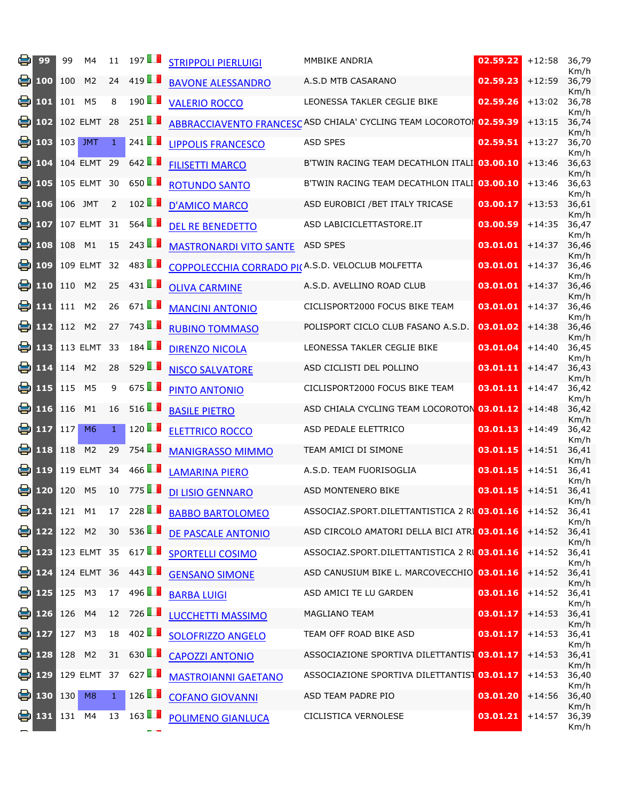| e  | 99                               | 99  | M4                       | 11           | 197                  | <b>STRIPPOLI PIERLUIGI</b>                       | MMBIKE ANDRIA                                                              | 02.59.22 | $+12:58$ | 36,79<br>Km/h |
|----|----------------------------------|-----|--------------------------|--------------|----------------------|--------------------------------------------------|----------------------------------------------------------------------------|----------|----------|---------------|
| e. | 100                              | 100 | M <sub>2</sub>           | 24           | 419                  | <b>BAVONE ALESSANDRO</b>                         | A.S.D MTB CASARANO                                                         | 02.59.23 | $+12:59$ | 36,79<br>Km/h |
| el | 101                              | 101 | M <sub>5</sub>           | 8            | 190                  | <b>VALERIO ROCCO</b>                             | LEONESSA TAKLER CEGLIE BIKE                                                | 02.59.26 | $+13:02$ | 36,78<br>Km/h |
| el | 102                              |     | 102 ELMT 28              |              | 251                  |                                                  | <b>ABBRACCIAVENTO FRANCESC ASD CHIALA' CYCLING TEAM LOCOROTOI 02.59.39</b> |          | $+13:15$ | 36,74<br>Km/h |
|    | $\bullet$ 103                    |     | 103 JMT                  | 1            | 241 $\blacksquare$   | <b>LIPPOLIS FRANCESCO</b>                        | <b>ASD SPES</b>                                                            | 02.59.51 | $+13:27$ | 36,70<br>Km/h |
| ei | 104                              |     | 104 ELMT 29              |              | 642                  | <b>FILISETTI MARCO</b>                           | B'TWIN RACING TEAM DECATHLON ITALI 03.00.10                                |          | $+13:46$ | 36,63<br>Km/h |
| eı | 105                              |     | 105 ELMT 30              |              | 650 $\Box$           | <b>ROTUNDO SANTO</b>                             | B'TWIN RACING TEAM DECATHLON ITALI 03.00.10                                |          | $+13:46$ | 36,63<br>Km/h |
|    | $\bullet$ 106                    |     | 106 JMT                  | 2            | 102                  | <b>D'AMICO MARCO</b>                             | ASD EUROBICI / BET ITALY TRICASE                                           | 03.00.17 | $+13:53$ | 36,61<br>Km/h |
| eı | 107                              |     | 107 ELMT 31              |              | $564$ $\blacksquare$ | <b>DEL RE BENEDETTO</b>                          | ASD LABICICLETTASTORE.IT                                                   | 03.00.59 | $+14:35$ | 36,47<br>Km/h |
|    | $\left[\frac{1}{2}\right]$ 108   | 108 | M1                       | 15           | 243                  | <b>MASTRONARDI VITO SANTE</b>                    | ASD SPES                                                                   | 03.01.01 | $+14:37$ | 36,46<br>Km/h |
| е. | 109                              |     | 109 ELMT                 | 32           | 483                  | COPPOLECCHIA CORRADO PI(A.S.D. VELOCLUB MOLFETTA |                                                                            | 03.01.01 | $+14:37$ | 36,46<br>Km/h |
| el | 110                              | 110 | M <sub>2</sub>           | 25           | 431 $\Box$           | <b>OLIVA CARMINE</b>                             | A.S.D. AVELLINO ROAD CLUB                                                  | 03.01.01 | $+14:37$ | 36,46<br>Km/h |
|    | 송 111                            | 111 | M <sub>2</sub>           | 26           | 671                  | <b>MANCINI ANTONIO</b>                           | CICLISPORT2000 FOCUS BIKE TEAM                                             | 03.01.01 | $+14:37$ | 36,46<br>Km/h |
|    | $\frac{1}{2}$ 112                |     | 112 M2                   | 27           | 743                  | <b>RUBINO TOMMASO</b>                            | POLISPORT CICLO CLUB FASANO A.S.D.                                         | 03.01.02 | $+14:38$ | 36,46<br>Km/h |
| el | 113                              |     | 113 ELMT                 | - 33         | $184$ $\blacksquare$ | <b>DIRENZO NICOLA</b>                            | LEONESSA TAKLER CEGLIE BIKE                                                | 03.01.04 | $+14:40$ | 36,45<br>Km/h |
| 음  | 114                              |     | 114 M2                   | 28           | $529$ $\blacksquare$ | <b>NISCO SALVATORE</b>                           | ASD CICLISTI DEL POLLINO                                                   | 03.01.11 | $+14:47$ | 36,43<br>Km/h |
|    | 兽 115                            | 115 | M <sub>5</sub>           | 9            | 675 $\blacksquare$   | PINTO ANTONIO                                    | CICLISPORT2000 FOCUS BIKE TEAM                                             | 03.01.11 | $+14:47$ | 36,42<br>Km/h |
|    | $\frac{1}{2}$ 116                | 116 | M1                       | 16           | 516                  | <b>BASILE PIETRO</b>                             | ASD CHIALA CYCLING TEAM LOCOROTON 03.01.12                                 |          | $+14:48$ | 36,42<br>Km/h |
|    | $\bullet$ 117                    | 117 | M <sub>6</sub>           | 1            | 120                  | <b>ELETTRICO ROCCO</b>                           | ASD PEDALE ELETTRICO                                                       | 03.01.13 | $+14:49$ | 36,42<br>Km/h |
| el | 118                              | 118 | M <sub>2</sub>           | 29           | 754                  | <b>MANIGRASSO MIMMO</b>                          | TEAM AMICI DI SIMONE                                                       | 03.01.15 | $+14:51$ | 36,41<br>Km/h |
|    | 号 119                            |     | 119 ELMT 34              |              | 466                  | <b>LAMARINA PIERO</b>                            | A.S.D. TEAM FUORISOGLIA                                                    | 03.01.15 | $+14:51$ | 36,41<br>Km/h |
|    | $\bullet$ 120                    | 120 | M <sub>5</sub>           | 10           | 775                  | <b>DI LISIO GENNARO</b>                          | ASD MONTENERO BIKE                                                         | 03.01.15 | $+14:51$ | 36,41<br>Km/h |
|    | t <mark>t</mark> 121 121 M1      |     |                          | 17           | 228                  | <b>BABBO BARTOLOMEO</b>                          | ASSOCIAZ.SPORT.DILETTANTISTICA 2 RU 03.01.16                               |          | $+14:52$ | 36,41<br>Km/h |
|    | <b>E</b> 122 122 M2              |     |                          | 30           | 536                  | <b>DE PASCALE ANTONIO</b>                        | ASD CIRCOLO AMATORI DELLA BICI ATRI 03.01.16                               |          | $+14:52$ | 36,41<br>Km/h |
|    | 兽 123                            |     |                          |              | 123 ELMT 35 617      | <b>SPORTELLI COSIMO</b>                          | ASSOCIAZ.SPORT.DILETTANTISTICA 2 RO 03.01.16                               |          | $+14:52$ | 36,41<br>Km/h |
|    |                                  |     | <b>E</b> 124 124 ELMT 36 |              | 443                  | <b>GENSANO SIMONE</b>                            | ASD CANUSIUM BIKE L. MARCOVECCHIO 03.01.16                                 |          | $+14:52$ | 36,41<br>Km/h |
|    | 兽 125                            |     | 125 M3                   | 17           | 496                  | <b>BARBA LUIGI</b>                               | ASD AMICI TE LU GARDEN                                                     | 03.01.16 | $+14:52$ | 36,41<br>Km/h |
|    | 兽 126                            |     | 126 M4                   |              | $12 \quad 726$       | <b>LUCCHETTI MASSIMO</b>                         | MAGLIANO TEAM                                                              | 03.01.17 | $+14:53$ | 36,41<br>Km/h |
|    | ed 127                           | 127 | M <sub>3</sub>           | 18           | 402 $\blacksquare$   | <b>SOLOFRIZZO ANGELO</b>                         | TEAM OFF ROAD BIKE ASD                                                     | 03.01.17 | $+14:53$ | 36,41<br>Km/h |
|    | $\left  \frac{1}{2} \right $ 128 |     | 128 M2                   |              | 31 630               | <b>CAPOZZI ANTONIO</b>                           | ASSOCIAZIONE SPORTIVA DILETTANTIS <sup>1</sup> 03.01.17                    |          | $+14:53$ | 36,41<br>Km/h |
|    | 兽 129                            |     |                          |              | 129 ELMT 37 627      | <b>MASTROIANNI GAETANO</b>                       | ASSOCIAZIONE SPORTIVA DILETTANTIST 03.01.17                                |          | $+14:53$ | 36,40<br>Km/h |
|    | ● 130 130                        |     | M <sub>8</sub>           | $\mathbf{1}$ | 126                  | <b>COFANO GIOVANNI</b>                           | ASD TEAM PADRE PIO                                                         | 03.01.20 | $+14:56$ | 36,40<br>Km/h |
|    | 鲁 131                            |     | 131 M4                   |              | $13 \quad 163$       | <b>POLIMENO GIANLUCA</b>                         | CICLISTICA VERNOLESE                                                       | 03.01.21 | $+14:57$ | 36,39<br>Km/h |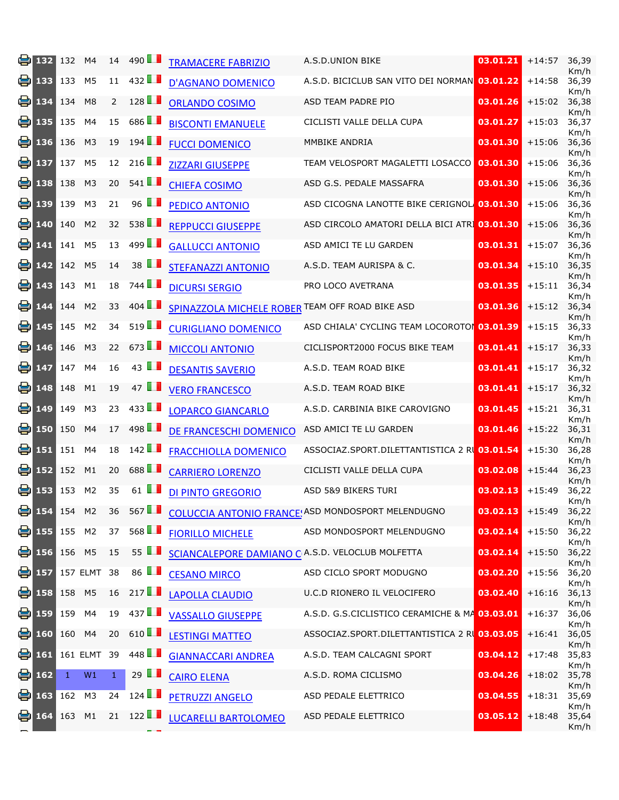| e. | 132                         | 132          | M4                       | 14           | 490 $\blacksquare$   | <b>TRAMACERE FABRIZIO</b>                        | A.S.D.UNION BIKE                                   | 03.01.21 | $+14:57$ | 36,39<br>Km/h |
|----|-----------------------------|--------------|--------------------------|--------------|----------------------|--------------------------------------------------|----------------------------------------------------|----------|----------|---------------|
| e  | 133                         | 133          | M5                       | 11           | 432                  | <b>D'AGNANO DOMENICO</b>                         | A.S.D. BICICLUB SAN VITO DEI NORMAN 03.01.22       |          | $+14:58$ | 36,39<br>Km/h |
| e  | 134                         | 134          | M <sub>8</sub>           | 2            | 128                  | <b>ORLANDO COSIMO</b>                            | ASD TEAM PADRE PIO                                 | 03.01.26 | $+15:02$ | 36,38<br>Km/h |
| e  | 135                         | 135          | M4                       | 15           | 686 <b>1</b>         | <b>BISCONTI EMANUELE</b>                         | CICLISTI VALLE DELLA CUPA                          | 03.01.27 | $+15:03$ | 36,37<br>Km/h |
| 용  | 136                         | 136          | M <sub>3</sub>           | 19           | 194                  | <b>FUCCI DOMENICO</b>                            | MMBIKE ANDRIA                                      | 03.01.30 | $+15:06$ | 36,36<br>Km/h |
| e  | 137                         | 137          | M <sub>5</sub>           | 12           | 216 $\Box$           | <b>ZIZZARI GIUSEPPE</b>                          | TEAM VELOSPORT MAGALETTI LOSACCO                   | 03.01.30 | $+15:06$ | 36,36<br>Km/h |
| 8  | 138                         | 138          | M <sub>3</sub>           | 20           | 541 $\blacksquare$   | <b>CHIEFA COSIMO</b>                             | ASD G.S. PEDALE MASSAFRA                           | 03.01.30 | $+15:06$ | 36,36<br>Km/h |
| e  | 139                         | 139          | M3                       | 21           | 96 $\blacksquare$    | PEDICO ANTONIO                                   | ASD CICOGNA LANOTTE BIKE CERIGNOL 03.01.30         |          | $+15:06$ | 36,36<br>Km/h |
| 을  | 140                         | 140          | M <sub>2</sub>           | 32           | 538                  | <b>REPPUCCI GIUSEPPE</b>                         | ASD CIRCOLO AMATORI DELLA BICI ATRI 03.01.30       |          | $+15:06$ | 36,36<br>Km/h |
| e  | 141                         | 141          | M <sub>5</sub>           | 13           | 499 $\blacksquare$   | <b>GALLUCCI ANTONIO</b>                          | ASD AMICI TE LU GARDEN                             | 03.01.31 | $+15:07$ | 36,36<br>Km/h |
| e  | 142                         | 142          | M <sub>5</sub>           | 14           | 38 $\blacksquare$    | <b>STEFANAZZI ANTONIO</b>                        | A.S.D. TEAM AURISPA & C.                           | 03.01.34 | $+15:10$ | 36,35<br>Km/h |
| e  | 143                         | 143          | M1                       | 18           | 744 <b>I</b>         | <b>DICURSI SERGIO</b>                            | PRO LOCO AVETRANA                                  | 03.01.35 | $+15:11$ | 36,34<br>Km/h |
| 을. | 144                         | 144          | M <sub>2</sub>           | 33           | 404                  | SPINAZZOLA MICHELE ROBER TEAM OFF ROAD BIKE ASD  |                                                    | 03.01.36 | $+15:12$ | 36,34<br>Km/h |
| 을. | 145                         | 145          | M <sub>2</sub>           | 34           | 519                  | <b>CURIGLIANO DOMENICO</b>                       | ASD CHIALA' CYCLING TEAM LOCOROTOI 03.01.39        |          | $+15:15$ | 36,33<br>Km/h |
| 9  | 146                         | 146          | M <sub>3</sub>           | 22           | 673                  | <b>MICCOLI ANTONIO</b>                           | CICLISPORT2000 FOCUS BIKE TEAM                     | 03.01.41 | $+15:17$ | 36,33<br>Km/h |
| 을. | 147                         | 147          | M4                       | 16           | 43 $\blacksquare$    | <b>DESANTIS SAVERIO</b>                          | A.S.D. TEAM ROAD BIKE                              | 03.01.41 | $+15:17$ | 36,32<br>Km/h |
| 용  | 148                         | 148          | M1                       | 19           | 47 $\blacksquare$    | <b>VERO FRANCESCO</b>                            | A.S.D. TEAM ROAD BIKE                              | 03.01.41 | $+15:17$ | 36,32<br>Km/h |
| 을. | 149                         | 149          | M3                       | 23           | 433                  | <b>LOPARCO GIANCARLO</b>                         | A.S.D. CARBINIA BIKE CAROVIGNO                     | 03.01.45 | $+15:21$ | 36,31<br>Km/h |
| e  | 150                         | 150          | M4                       | 17           | 498 $\blacksquare$   | DE FRANCESCHI DOMENICO                           | ASD AMICI TE LU GARDEN                             | 03.01.46 | $+15:22$ | 36,31<br>Km/h |
| е  | 151                         | 151          | M4                       | 18           | 142                  | <b>FRACCHIOLLA DOMENICO</b>                      | ASSOCIAZ.SPORT.DILETTANTISTICA 2 RI 03.01.54       |          | $+15:30$ | 36,28<br>Km/h |
| e  | 152                         | 152          | M1                       | 20           | 688 <b>1</b>         | <b>CARRIERO LORENZO</b>                          | CICLISTI VALLE DELLA CUPA                          | 03.02.08 | $+15:44$ | 36,23<br>Km/h |
| el | 153                         | 153          | M <sub>2</sub>           | 35           | 61 $\blacksquare$    | <b>DI PINTO GREGORIO</b>                         | ASD 5&9 BIKERS TURI                                | 03.02.13 | $+15:49$ | 36,22<br>Km/h |
|    | t <mark>e</mark> 154 154 M2 |              |                          | 36           | $567$ $\blacksquare$ |                                                  | COLUCCIA ANTONIO FRANCE! ASD MONDOSPORT MELENDUGNO | 03.02.13 | $+15:49$ | 36,22<br>Km/h |
|    | t 155 155 M2                |              |                          | 37           | 568                  | <b>FIORILLO MICHELE</b>                          | ASD MONDOSPORT MELENDUGNO                          | 03.02.14 | $+15:50$ | 36,22<br>Km/h |
|    | <mark>⊜</mark> 156 156 M5   |              |                          | 15           | 55 $\blacksquare$    | SCIANCALEPORE DAMIANO C A.S.D. VELOCLUB MOLFETTA |                                                    | 03.02.14 | $+15:50$ | 36,22<br>Km/h |
|    |                             |              | <b>D</b> 157 157 ELMT 38 |              | 86 $\blacksquare$    | <b>CESANO MIRCO</b>                              | ASD CICLO SPORT MODUGNO                            | 03.02.20 | $+15:56$ | 36,20<br>Km/h |
|    | <b>B</b> 158 158 M5         |              |                          | 16           | 217                  | <b>LAPOLLA CLAUDIO</b>                           | U.C.D RIONERO IL VELOCIFERO                        | 03.02.40 | $+16:16$ | 36,13<br>Km/h |
|    | e 159 159 M4                |              |                          | 19           | 437                  | <b>VASSALLO GIUSEPPE</b>                         | A.S.D. G.S.CICLISTICO CERAMICHE & MA 03.03.01      |          | $+16:37$ | 36,06<br>Km/h |
|    | $\frac{1}{2}$ 160 160 M4    |              |                          | 20           | 610 $\blacksquare$   | <b>LESTINGI MATTEO</b>                           | ASSOCIAZ.SPORT.DILETTANTISTICA 2 R 03.03.05        |          | $+16:41$ | 36,05<br>Km/h |
|    | $\bullet$ 161               |              | 161 ELMT 39              |              | 448                  | <b>GIANNACCARI ANDREA</b>                        | A.S.D. TEAM CALCAGNI SPORT                         | 03.04.12 | $+17:48$ | 35,83<br>Km/h |
|    | $^{162}$ 162                | $\mathbf{1}$ | W1                       | $\mathbf{1}$ | 29 $\blacksquare$    | <b>CAIRO ELENA</b>                               | A.S.D. ROMA CICLISMO                               | 03.04.26 | $+18:02$ | 35,78<br>Km/h |
|    | <b>e</b> 163                | 162 M3       |                          | 24           | 124                  | <b>PETRUZZI ANGELO</b>                           | ASD PEDALE ELETTRICO                               | 03.04.55 | $+18:31$ | 35,69<br>Km/h |
|    | e 164 163 M1                |              |                          |              | 21 $122$             | <b>LUCARELLI BARTOLOMEO</b>                      | ASD PEDALE ELETTRICO                               | 03.05.12 | $+18:48$ | 35,64<br>Km/h |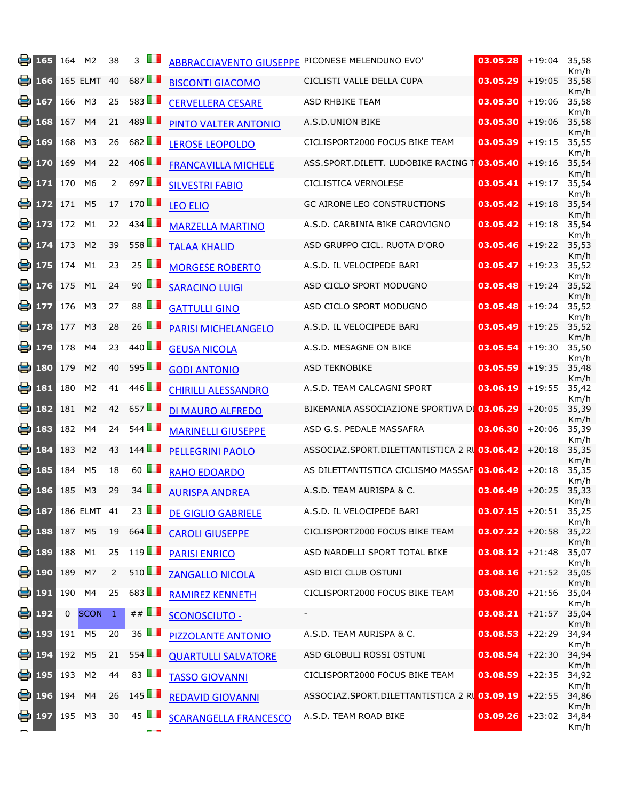|    | $\bullet$ 165                    | 164    | M <sub>2</sub>                | 38             | $\mathbf{3}$         | <b>ABBRACCIAVENTO GIUSEPPE</b> | PICONESE MELENDUNO EVO'                      | 03.05.28 | $+19:04$       | 35,58<br>Km/h |
|----|----------------------------------|--------|-------------------------------|----------------|----------------------|--------------------------------|----------------------------------------------|----------|----------------|---------------|
|    | $\bullet$ 166                    |        | 165 ELMT 40                   |                | 687 $\Box$           | <b>BISCONTI GIACOMO</b>        | CICLISTI VALLE DELLA CUPA                    | 03.05.29 | $+19:05$       | 35,58<br>Km/h |
| ei | 167                              | 166    | M3                            | 25             | 583                  | <b>CERVELLERA CESARE</b>       | ASD RHBIKE TEAM                              | 03.05.30 | $+19:06$       | 35,58<br>Km/h |
| 9  | 168                              | 167    | M4                            | 21             | 489 $\Box$           | PINTO VALTER ANTONIO           | A.S.D.UNION BIKE                             | 03.05.30 | $+19:06$       | 35,58<br>Km/h |
| 음  | 169                              | 168    | M <sub>3</sub>                | 26             | 682 $\Box$           | <b>LEROSE LEOPOLDO</b>         | CICLISPORT2000 FOCUS BIKE TEAM               | 03.05.39 | $+19:15$       | 35,55<br>Km/h |
| ei | 170                              | 169    | M4                            | 22             | 406                  | <b>FRANCAVILLA MICHELE</b>     | ASS.SPORT.DILETT. LUDOBIKE RACING 1          | 03.05.40 | $+19:16$       | 35,54<br>Km/h |
| el | 171                              | 170    | M <sub>6</sub>                | $2^{\circ}$    | 697 $\blacksquare$   | <b>SILVESTRI FABIO</b>         | CICLISTICA VERNOLESE                         | 03.05.41 | $+19:17$       | 35,54<br>Km/h |
| 음  | 172                              | 171    | M <sub>5</sub>                | 17             | 170                  | <b>LEO ELIO</b>                | GC AIRONE LEO CONSTRUCTIONS                  | 03.05.42 | $+19:18$       | 35,54<br>Km/h |
| el | 173                              | 172    | M1                            | 22             | $434$ $\blacksquare$ | <b>MARZELLA MARTINO</b>        | A.S.D. CARBINIA BIKE CAROVIGNO               | 03.05.42 | $+19:18$       | 35,54<br>Km/h |
|    | $\frac{1}{2}$ 174                | 173    | M <sub>2</sub>                | 39             | 558                  | <b>TALAA KHALID</b>            | ASD GRUPPO CICL. RUOTA D'ORO                 | 03.05.46 | $+19:22$       | 35,53<br>Km/h |
| ei | 175                              | 174    | M1                            | 23             | 25 $\blacksquare$    | <b>MORGESE ROBERTO</b>         | A.S.D. IL VELOCIPEDE BARI                    | 03.05.47 | $+19:23$       | 35,52<br>Km/h |
| el | 176                              | 175    | M1                            | 24             | 90 $\blacksquare$    | <b>SARACINO LUIGI</b>          | ASD CICLO SPORT MODUGNO                      | 03.05.48 | $+19:24$       | 35,52<br>Km/h |
| eı | 177                              | 176    | M <sub>3</sub>                | 27             | 88 <b>II</b>         | <b>GATTULLI GINO</b>           | ASD CICLO SPORT MODUGNO                      | 03.05.48 | $+19:24$       | 35,52<br>Km/h |
| eı | 178                              | 177    | M <sub>3</sub>                | 28             | 26 $\blacksquare$    | <b>PARISI MICHELANGELO</b>     | A.S.D. IL VELOCIPEDE BARI                    | 03.05.49 | $+19:25$       | 35,52<br>Km/h |
| 음  | 179                              | 178    | M4                            | 23             | 440 $\blacksquare$   | <b>GEUSA NICOLA</b>            | A.S.D. MESAGNE ON BIKE                       | 03.05.54 | $+19:30$       | 35,50<br>Km/h |
| 9  | 180                              | 179    | M <sub>2</sub>                | 40             | $595$ $\Box$         | <b>GODI ANTONIO</b>            | <b>ASD TEKNOBIKE</b>                         | 03.05.59 | $+19:35$       | 35,48<br>Km/h |
| 을. | 181                              | 180    | M <sub>2</sub>                | 41             | 446 $\Box$           | <b>CHIRILLI ALESSANDRO</b>     | A.S.D. TEAM CALCAGNI SPORT                   | 03.06.19 | $+19:55$       | 35,42<br>Km/h |
| ei | 182                              | 181    | M <sub>2</sub>                | 42             | 657 $\Box$           | DI MAURO ALFREDO               | BIKEMANIA ASSOCIAZIONE SPORTIVA DI 03.06.29  |          | $+20:05$       | 35,39<br>Km/h |
| €. | 183                              | 182    | M4                            | 24             | $544$ $\blacksquare$ | <b>MARINELLI GIUSEPPE</b>      | ASD G.S. PEDALE MASSAFRA                     | 03.06.30 | $+20:06$       | 35,39<br>Km/h |
| e. | 184                              | 183    | M <sub>2</sub>                | 43             | 144                  | <b>PELLEGRINI PAOLO</b>        | ASSOCIAZ.SPORT.DILETTANTISTICA 2 RU 03.06.42 |          | $+20:18$       | 35,35<br>Km/h |
|    | $\bullet$ 185                    | 184    | M <sub>5</sub>                | 18             | 60 $\blacksquare$    | <b>RAHO EDOARDO</b>            | AS DILETTANTISTICA CICLISMO MASSAF 03.06.42  |          | $+20:18$       | 35,35<br>Km/h |
| e. | 186                              | 185    | M <sub>3</sub>                | 29             | 34 $\Box$            | <b>AURISPA ANDREA</b>          | A.S.D. TEAM AURISPA & C.                     | 03.06.49 | $+20:25$       | 35,33<br>Km/h |
|    |                                  |        | $\frac{1}{2}$ 187 186 ELMT 41 |                | 23 $\blacksquare$    | <b>DE GIGLIO GABRIELE</b>      | A.S.D. IL VELOCIPEDE BARI                    | 03.07.15 | $+20:51$ 35,25 | Km/h          |
|    | $\left  \frac{1}{2} \right $ 188 | 187 M5 |                               | 19             | 664                  | <b>CAROLI GIUSEPPE</b>         | CICLISPORT2000 FOCUS BIKE TEAM               | 03.07.22 | $+20:58$       | 35,22<br>Km/h |
|    | $\left  \frac{1}{2} \right $ 189 | 188 M1 |                               | 25             | 119                  | <b>PARISI ENRICO</b>           | ASD NARDELLI SPORT TOTAL BIKE                | 03.08.12 | $+21:48$       | 35,07<br>Km/h |
|    | 兽 190                            | 189    | M7                            | $\overline{2}$ | 510                  | <b>ZANGALLO NICOLA</b>         | ASD BICI CLUB OSTUNI                         | 03.08.16 | $+21:52$       | 35,05<br>Km/h |
|    | ed 191                           | 190 M4 |                               | 25             | 683                  | RAMIREZ KENNETH                | CICLISPORT2000 FOCUS BIKE TEAM               | 03.08.20 | $+21:56$       | 35,04<br>Km/h |
|    | 号 192                            |        | 0 SCON 1                      |                | $\#$ $\blacksquare$  | <b>SCONOSCIUTO -</b>           |                                              | 03.08.21 | $+21:57$       | 35,04<br>Km/h |
|    | 兽 193                            | 191 M5 |                               | 20             | 36 $\blacksquare$    | <b>PIZZOLANTE ANTONIO</b>      | A.S.D. TEAM AURISPA & C.                     | 03.08.53 | $+22:29$       | 34,94<br>Km/h |
|    | ed 194                           | 192    | M <sub>5</sub>                | 21             | $554$ $\blacksquare$ | <b>QUARTULLI SALVATORE</b>     | ASD GLOBULI ROSSI OSTUNI                     | 03.08.54 | $+22:30$       | 34,94<br>Km/h |
|    | 兽 195                            | 193 M2 |                               | 44             | 83 $\blacksquare$    | <b>TASSO GIOVANNI</b>          | CICLISPORT2000 FOCUS BIKE TEAM               | 03.08.59 | $+22:35$       | 34,92<br>Km/h |
|    | 兽 196                            | 194 M4 |                               | 26             | 145                  | <b>REDAVID GIOVANNI</b>        | ASSOCIAZ.SPORT.DILETTANTISTICA 2 R 03.09.19  |          | $+22:55$       | 34,86<br>Km/h |
|    | 昌 197                            | 195 M3 |                               | 30             | 45 $\Box$            | <b>SCARANGELLA FRANCESCO</b>   | A.S.D. TEAM ROAD BIKE                        | 03.09.26 | $+23:02$       | 34,84<br>Km/h |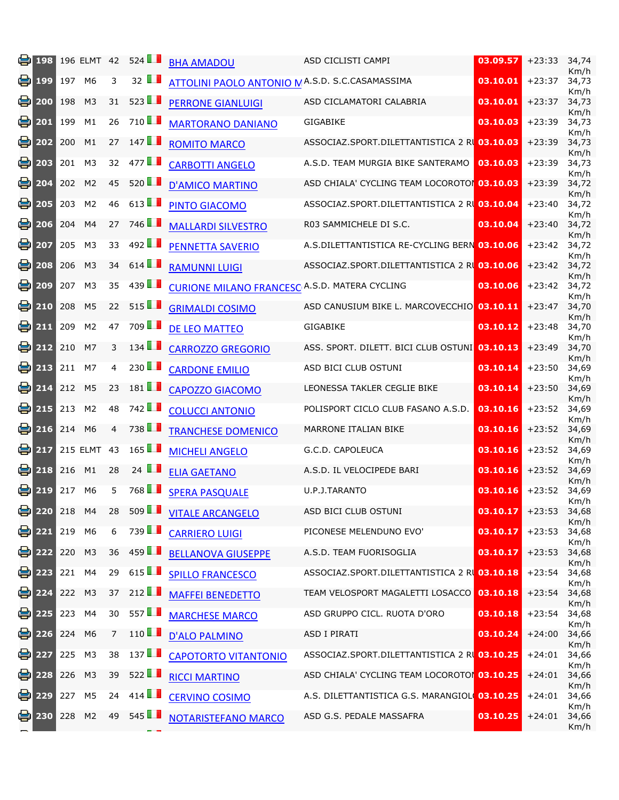| ei | 198           |        | 196 ELMT 42    |                | 524                  | <b>BHA AMADOU</b>                                    | ASD CICLISTI CAMPI                               | 03.09.57 | $+23:33$ | 34,74<br>Km/h         |
|----|---------------|--------|----------------|----------------|----------------------|------------------------------------------------------|--------------------------------------------------|----------|----------|-----------------------|
| e  | 199           | 197    | M6             | 3              | 32 $\blacksquare$    | ATTOLINI PAOLO ANTONIO N A.S.D. S.C.CASAMASSIMA      |                                                  | 03.10.01 | $+23:37$ | 34,73<br>Km/h         |
| e. | 200           | 198    | M <sub>3</sub> | 31             | 523                  | <b>PERRONE GIANLUIGI</b>                             | ASD CICLAMATORI CALABRIA                         | 03.10.01 | $+23:37$ | 34,73<br>Km/h         |
| e  | 201           | 199    | M1             | 26             | 710LL                | <b>MARTORANO DANIANO</b>                             | <b>GIGABIKE</b>                                  | 03.10.03 | $+23:39$ | 34,73<br>Km/h         |
| 을. | 202           | 200    | M1             | 27             | 147                  | <b>ROMITO MARCO</b>                                  | ASSOCIAZ.SPORT.DILETTANTISTICA 2 RI 03.10.03     |          | $+23:39$ | 34,73<br>Km/h         |
| e  | 203           | 201    | M <sub>3</sub> | 32             | 477                  | <b>CARBOTTI ANGELO</b>                               | A.S.D. TEAM MURGIA BIKE SANTERAMO                | 03.10.03 | $+23:39$ | 34,73<br>Km/h         |
| 을  | 204           | 202    | M <sub>2</sub> | 45             | $520$ $\blacksquare$ | <b>D'AMICO MARTINO</b>                               | ASD CHIALA' CYCLING TEAM LOCOROTO 03.10.03       |          | $+23:39$ | 34,72<br>Km/h         |
| 을. | 205           | 203    | M <sub>2</sub> | 46             | 613 $\blacksquare$   | PINTO GIACOMO                                        | ASSOCIAZ.SPORT.DILETTANTISTICA 2 RI 03.10.04     |          | $+23:40$ | 34,72<br>Km/h         |
| ei | 206           | 204    | M4             | 27             | 746 <b>1</b>         | <b>MALLARDI SILVESTRO</b>                            | R03 SAMMICHELE DI S.C.                           | 03.10.04 | $+23:40$ | 34,72<br>Km/h         |
| e  | 207           | 205    | M <sub>3</sub> | 33             | 492 $\blacksquare$   | PENNETTA SAVERIO                                     | A.S.DILETTANTISTICA RE-CYCLING BERN 03.10.06     |          | $+23:42$ | 34,72<br>Km/h         |
| e. | 208           | 206    | M <sub>3</sub> | 34             | 614                  | <b>RAMUNNI LUIGI</b>                                 | ASSOCIAZ.SPORT.DILETTANTISTICA 2 RU 03.10.06     |          | $+23:42$ | 34,72<br>Km/h         |
| e  | 209           | 207    | M <sub>3</sub> | 35             | 439                  | <b>CURIONE MILANO FRANCESC A.S.D. MATERA CYCLING</b> |                                                  | 03.10.06 | $+23:42$ | 34,72<br>Km/h         |
| el | 210           | 208    | M <sub>5</sub> | 22             | 515                  | <b>GRIMALDI COSIMO</b>                               | ASD CANUSIUM BIKE L. MARCOVECCHIO 03.10.11       |          | $+23:47$ | 34,70<br>Km/h         |
| e  | 211           | 209    | M <sub>2</sub> | 47             | 709LL                | <b>DE LEO MATTEO</b>                                 | GIGABIKE                                         | 03.10.12 | $+23:48$ | 34,70<br>Km/h         |
| ei | 212           | 210    | M7             | 3              | $134$ $\blacksquare$ | <b>CARROZZO GREGORIO</b>                             | ASS. SPORT. DILETT. BICI CLUB OSTUNI 03.10.13    |          | $+23:49$ | 34,70<br>Km/h         |
| e  | 213           | 211    | M7             | 4              | 230                  | <b>CARDONE EMILIO</b>                                | ASD BICI CLUB OSTUNI                             | 03.10.14 | $+23:50$ | 34,69<br>Km/h         |
| el | 214           | 212    | M <sub>5</sub> | 23             | $181$ $\blacksquare$ | <b>CAPOZZO GIACOMO</b>                               | LEONESSA TAKLER CEGLIE BIKE                      | 03.10.14 | $+23:50$ | 34,69<br>Km/h         |
| ei | 215           | 213    | M <sub>2</sub> | 48             | 742                  | <b>COLUCCI ANTONIO</b>                               | POLISPORT CICLO CLUB FASANO A.S.D.               | 03.10.16 | $+23:52$ | 34,69<br>Km/h         |
| 을. | 216           | 214    | M <sub>6</sub> | $\overline{4}$ | 738 L                | <b>TRANCHESE DOMENICO</b>                            | MARRONE ITALIAN BIKE                             | 03.10.16 | $+23:52$ | 34,69<br>Km/h         |
| e  | 217           |        | 215 ELMT 43    |                | 165                  | <b>MICHELI ANGELO</b>                                | G.C.D. CAPOLEUCA                                 | 03.10.16 | $+23:52$ | 34,69<br>Km/h         |
| 음  | 218           | 216    | M1             | 28             | 24 $\blacksquare$    | <b>ELIA GAETANO</b>                                  | A.S.D. IL VELOCIPEDE BARI                        | 03.10.16 | $+23:52$ | 34,69<br>Km/h         |
| e  | 219           | 217    | M6             | 5              | 768 <b>1</b>         | <b>SPERA PASQUALE</b>                                | U.P.J.TARANTO                                    | 03.10.16 | $+23:52$ | 34,69<br>Km/h         |
|    | ed 220        | 218 M4 |                | 28             | $509$ $\blacksquare$ | <b>VITALE ARCANGELO</b>                              | ASD BICI CLUB OSTUNI                             | 03.10.17 | $+23:53$ | 34,68<br>Km/h         |
|    | 221           | 219    | M <sub>6</sub> | 6              | 739                  | <b>CARRIERO LUIGI</b>                                | PICONESE MELENDUNO EVO'                          | 03.10.17 | $+23:53$ | 34,68<br>Km/h         |
| 읭  | 222           | 220    | M <sub>3</sub> | 36             | 459 $\Box$           | <b>BELLANOVA GIUSEPPE</b>                            | A.S.D. TEAM FUORISOGLIA                          | 03.10.17 | $+23:53$ | 34,68<br>Km/h         |
|    | ₩ 223         | 221    | M4             | 29             | 615                  | <b>SPILLO FRANCESCO</b>                              | ASSOCIAZ.SPORT.DILETTANTISTICA 2 RU 03.10.18     |          | $+23:54$ | 34,68<br>Km/h         |
|    | $\bullet$ 224 | 222    | M <sub>3</sub> | 37             | 212 $\blacksquare$   | <b>MAFFEI BENEDETTO</b>                              | <b>TEAM VELOSPORT MAGALETTI LOSACCO 03.10.18</b> |          | $+23:54$ | 34,68<br>Km/h         |
|    | ఆ 225         | 223    | M4             | 30             | 557 $\Box$           | <b>MARCHESE MARCO</b>                                | ASD GRUPPO CICL. RUOTA D'ORO                     | 03.10.18 | $+23:54$ | 34,68<br>Km/h         |
| 음  | 226           | 224 M6 |                | 7              | 110                  | <b>D'ALO PALMINO</b>                                 | ASD I PIRATI                                     | 03.10.24 | $+24:00$ | 34,66<br>Km/h         |
|    | ₩ 227         | 225    | M3             | 38             | 137                  | <b>CAPOTORTO VITANTONIO</b>                          | ASSOCIAZ.SPORT.DILETTANTISTICA 2 R 03.10.25      |          | $+24:01$ | 34,66<br>Km/h         |
|    | ed 228        | 226    | M <sub>3</sub> | 39             | 522                  | <b>RICCI MARTINO</b>                                 | ASD CHIALA' CYCLING TEAM LOCOROTOR 03.10.25      |          | $+24:01$ | 34,66<br>Km/h         |
|    | 号 229         | 227    | M <sub>5</sub> | 24             | 414                  | <b>CERVINO COSIMO</b>                                | A.S. DILETTANTISTICA G.S. MARANGIOL 03.10.25     |          | $+24:01$ | 34,66                 |
|    | ఆ 230         | 228    | M <sub>2</sub> | 49             | 545                  | NOTARISTEFANO MARCO                                  | ASD G.S. PEDALE MASSAFRA                         | 03.10.25 | $+24:01$ | Km/h<br>34,66<br>Km/h |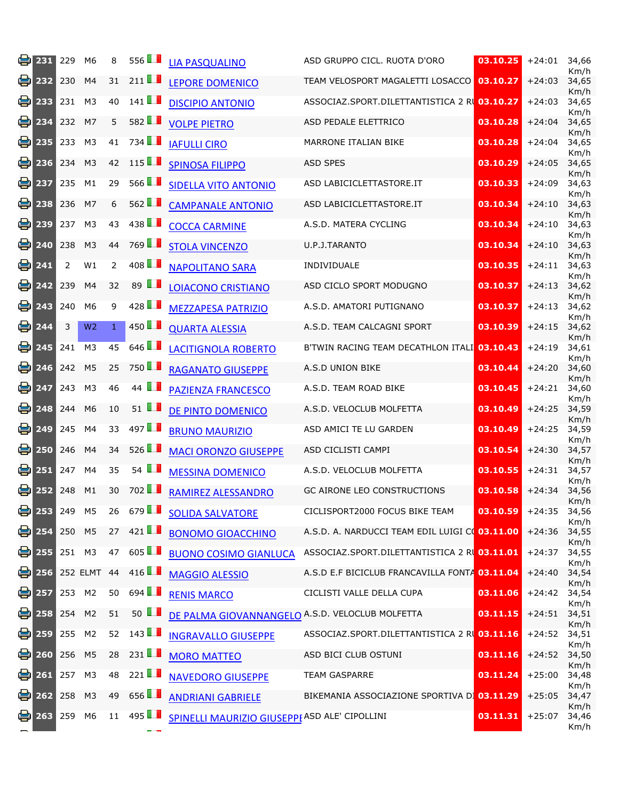| 봄  | 231                            | 229    | M <sub>6</sub> | 8  | 556                  | <b>LIA PASQUALINO</b>                           | ASD GRUPPO CICL. RUOTA D'ORO                   | 03.10.25 | $+24:01$ | 34,66<br>Km/h         |
|----|--------------------------------|--------|----------------|----|----------------------|-------------------------------------------------|------------------------------------------------|----------|----------|-----------------------|
| e  | 232                            | 230    | M4             | 31 | 211 $\blacksquare$   | <b>LEPORE DOMENICO</b>                          | TEAM VELOSPORT MAGALETTI LOSACCO               | 03.10.27 | $+24:03$ | 34,65<br>Km/h         |
| e  | 233                            | 231    | M <sub>3</sub> | 40 | $141$ $\blacksquare$ | <b>DISCIPIO ANTONIO</b>                         | ASSOCIAZ.SPORT.DILETTANTISTICA 2 R 03.10.27    |          | $+24:03$ | 34,65<br>Km/h         |
| 9  | 234                            | 232    | M7             | 5  | 582                  | <b>VOLPE PIETRO</b>                             | ASD PEDALE ELETTRICO                           | 03.10.28 | $+24:04$ | 34,65<br>Km/h         |
| 음  | 235                            | 233    | M <sub>3</sub> | 41 | 734                  | <b>IAFULLI CIRO</b>                             | MARRONE ITALIAN BIKE                           | 03.10.28 | $+24:04$ | 34,65<br>Km/h         |
| e  | 236                            | 234    | M <sub>3</sub> | 42 | 115                  | <b>SPINOSA FILIPPO</b>                          | <b>ASD SPES</b>                                | 03.10.29 | $+24:05$ | 34,65<br>Km/h         |
| 음  | 237                            | 235    | M1             | 29 | $566$ $\blacksquare$ | <b>SIDELLA VITO ANTONIO</b>                     | ASD LABICICLETTASTORE.IT                       | 03.10.33 | $+24:09$ | 34,63<br>Km/h         |
| 9  | 238                            | 236    | M7             | 6  | 562                  | <b>CAMPANALE ANTONIO</b>                        | ASD LABICICLETTASTORE.IT                       | 03.10.34 | $+24:10$ | 34,63<br>Km/h         |
| 음  | 239                            | 237    | M <sub>3</sub> | 43 | 438                  | <b>COCCA CARMINE</b>                            | A.S.D. MATERA CYCLING                          | 03.10.34 | $+24:10$ | 34,63<br>Km/h         |
| 을  | 240                            | 238    | M <sub>3</sub> | 44 | 769 LL               | <b>STOLA VINCENZO</b>                           | U.P.J.TARANTO                                  | 03.10.34 | $+24:10$ | 34,63<br>Km/h         |
| 음  | 241                            | 2      | W1             | 2  | 408                  | <b>NAPOLITANO SARA</b>                          | INDIVIDUALE                                    | 03.10.35 | $+24:11$ | 34,63<br>Km/h         |
| 용  | 242                            | 239    | M4             | 32 | 89 $\blacksquare$    | <b>LOIACONO CRISTIANO</b>                       | ASD CICLO SPORT MODUGNO                        | 03.10.37 | $+24:13$ | 34,62                 |
| 을  | 243                            | 240    | M <sub>6</sub> | 9  | 428                  | <b>MEZZAPESA PATRIZIO</b>                       | A.S.D. AMATORI PUTIGNANO                       | 03.10.37 | $+24:13$ | Km/h<br>34,62         |
| 8  | 244                            | 3      | W <sub>2</sub> | 1  | 450 <b>1</b>         | <b>QUARTA ALESSIA</b>                           | A.S.D. TEAM CALCAGNI SPORT                     | 03.10.39 | $+24:15$ | Km/h<br>34,62         |
| 음  | 245                            | 241    | M <sub>3</sub> | 45 | 646                  | <b>LACITIGNOLA ROBERTO</b>                      | B'TWIN RACING TEAM DECATHLON ITALI 03.10.43    |          | $+24:19$ | Km/h<br>34,61         |
| 음  | 246                            | 242    | M <sub>5</sub> | 25 | 750LL                | <b>RAGANATO GIUSEPPE</b>                        | A.S.D UNION BIKE                               | 03.10.44 | $+24:20$ | Km/h<br>34,60         |
| 음  | 247                            | 243    | M <sub>3</sub> | 46 | 44 $\blacksquare$    | <b>PAZIENZA FRANCESCO</b>                       | A.S.D. TEAM ROAD BIKE                          | 03.10.45 | $+24:21$ | Km/h<br>34,60         |
| e  | 248                            | 244    | M <sub>6</sub> | 10 | 51 $\blacksquare$    | DE PINTO DOMENICO                               | A.S.D. VELOCLUB MOLFETTA                       | 03.10.49 | $+24:25$ | Km/h<br>34,59         |
| 음  | 249                            | 245    | M4             | 33 | 497                  | <b>BRUNO MAURIZIO</b>                           | ASD AMICI TE LU GARDEN                         | 03.10.49 | $+24:25$ | Km/h<br>34,59<br>Km/h |
| 을  | 250                            | 246    | M4             | 34 | 526                  | <b>MACI ORONZO GIUSEPPE</b>                     | ASD CICLISTI CAMPI                             | 03.10.54 | $+24:30$ | 34,57                 |
| 을. | 251                            | 247    | M4             | 35 | 54 $\blacksquare$    | <b>MESSINA DOMENICO</b>                         | A.S.D. VELOCLUB MOLFETTA                       | 03.10.55 | $+24:31$ | Km/h<br>34,57<br>Km/h |
| e. | 252                            | 248    | M <sub>1</sub> | 30 | 702LL                | <b>RAMIREZ ALESSANDRO</b>                       | <b>GC AIRONE LEO CONSTRUCTIONS</b>             | 03.10.58 | $+24:34$ | 34,56                 |
|    | $\bigcirc$ 253                 | 249 M5 |                |    | 26 679               | <b>SOLIDA SALVATORE</b>                         | CICLISPORT2000 FOCUS BIKE TEAM                 | 03.10.59 | $+24:35$ | Km/h<br>34,56<br>Km/h |
|    | $\bullet$ 254                  | 250 M5 |                | 27 | 421                  | <b>BONOMO GIOACCHINO</b>                        | A.S.D. A. NARDUCCI TEAM EDIL LUIGI CO 03.11.00 |          | $+24:36$ | 34,55<br>Km/h         |
|    | 鲁 255                          | 251 M3 |                |    | 47 605               | <b>BUONO COSIMO GIANLUCA</b>                    | ASSOCIAZ.SPORT.DILETTANTISTICA 2 RL 03.11.01   |          | $+24:37$ | 34,55<br>Km/h         |
|    | 号 256                          |        | 252 ELMT 44    |    | 416                  | <b>MAGGIO ALESSIO</b>                           | A.S.D E.F BICICLUB FRANCAVILLA FONTA 03.11.04  |          | $+24:40$ | 34,54<br>Km/h         |
|    | ᇦ 257                          | 253 M2 |                | 50 | 694                  | <b>RENIS MARCO</b>                              | CICLISTI VALLE DELLA CUPA                      | 03.11.06 | $+24:42$ | 34,54<br>Km/h         |
|    | $\left[\frac{1}{2}\right]$ 258 | 254 M2 |                | 51 | 50 $\blacksquare$    | DE PALMA GIOVANNANGELO A.S.D. VELOCLUB MOLFETTA |                                                | 03.11.15 | $+24:51$ | 34,51<br>Km/h         |
|    | 号 259                          | 255 M2 |                | 52 | 143                  | <b>INGRAVALLO GIUSEPPE</b>                      | ASSOCIAZ.SPORT.DILETTANTISTICA 2 R 03.11.16    |          | $+24:52$ | 34,51<br>Km/h         |
|    | 号 260                          | 256 M5 |                | 28 | 231                  | <b>MORO MATTEO</b>                              | ASD BICI CLUB OSTUNI                           | 03.11.16 | $+24:52$ | 34,50<br>Km/h         |
|    | 261                            | 257 M3 |                | 48 | 221                  | <b>NAVEDORO GIUSEPPE</b>                        | <b>TEAM GASPARRE</b>                           | 03.11.24 | $+25:00$ | 34,48<br>Km/h         |
|    | <b>e</b> ] 262                 | 258    | M <sub>3</sub> | 49 | 656 $\blacksquare$   | <b>ANDRIANI GABRIELE</b>                        | BIKEMANIA ASSOCIAZIONE SPORTIVA D 03.11.29     |          | $+25:05$ | 34,47<br>Km/h         |
|    | ed 263                         | 259    | M6             | 11 | 495                  | SPINELLI MAURIZIO GIUSEPPEASD ALE' CIPOLLINI    |                                                | 03.11.31 | $+25:07$ | 34,46<br>Km/h         |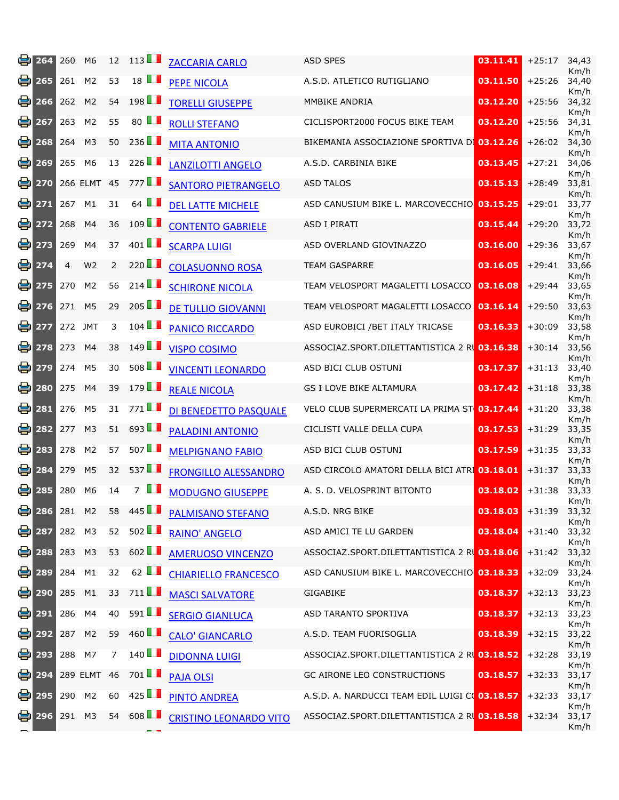| 봄  | 264                  | 260    | M <sub>6</sub> | 12             | 113                  | <b>ZACCARIA CARLO</b>         | <b>ASD SPES</b>                                | 03.11.41 | $+25:17$ | 34,43<br>Km/h |
|----|----------------------|--------|----------------|----------------|----------------------|-------------------------------|------------------------------------------------|----------|----------|---------------|
| e  | 265                  | 261    | M <sub>2</sub> | 53             | $18$ $\blacksquare$  | <b>PEPE NICOLA</b>            | A.S.D. ATLETICO RUTIGLIANO                     | 03.11.50 | $+25:26$ | 34,40<br>Km/h |
| e. | 266                  | 262    | M <sub>2</sub> | 54             | 198                  | <b>TORELLI GIUSEPPE</b>       | MMBIKE ANDRIA                                  | 03.12.20 | $+25:56$ | 34,32<br>Km/h |
| 8  | 267                  | 263    | M <sub>2</sub> | 55             | 80 $\blacksquare$    | <b>ROLLI STEFANO</b>          | CICLISPORT2000 FOCUS BIKE TEAM                 | 03.12.20 | $+25:56$ | 34,31<br>Km/h |
| 을. | 268                  | 264    | M <sub>3</sub> | 50             | 236                  | <b>MITA ANTONIO</b>           | BIKEMANIA ASSOCIAZIONE SPORTIVA DI 03.12.26    |          | $+26:02$ | 34,30<br>Km/h |
| 8  | 269                  | 265    | M <sub>6</sub> | 13             | 226 $\blacksquare$   | <b>LANZILOTTI ANGELO</b>      | A.S.D. CARBINIA BIKE                           | 03.13.45 | $+27:21$ | 34,06<br>Km/h |
| e. | 270                  |        | 266 ELMT 45    |                | 777                  | <b>SANTORO PIETRANGELO</b>    | <b>ASD TALOS</b>                               | 03.15.13 | $+28:49$ | 33,81<br>Km/h |
| e  | 271                  | 267    | M1             | 31             | 64 $\blacksquare$    | <b>DEL LATTE MICHELE</b>      | ASD CANUSIUM BIKE L. MARCOVECCHIO 03.15.25     |          | $+29:01$ | 33,77<br>Km/h |
| 을  | 272                  | 268    | M4             | 36             | 109                  | <b>CONTENTO GABRIELE</b>      | <b>ASD I PIRATI</b>                            | 03.15.44 | $+29:20$ | 33,72<br>Km/h |
| e  | 273                  | 269    | M4             | 37             | 401 $\blacksquare$   | <b>SCARPA LUIGI</b>           | ASD OVERLAND GIOVINAZZO                        | 03.16.00 | $+29:36$ | 33,67<br>Km/h |
| e. | 274                  | 4      | W <sub>2</sub> | 2              | 220 $\blacksquare$   | <b>COLASUONNO ROSA</b>        | <b>TEAM GASPARRE</b>                           | 03.16.05 | $+29:41$ | 33,66<br>Km/h |
| e  | 275                  | 270    | M <sub>2</sub> | 56             | 214                  | <b>SCHIRONE NICOLA</b>        | TEAM VELOSPORT MAGALETTI LOSACCO               | 03.16.08 | $+29:44$ | 33,65<br>Km/h |
| e. | 276                  | 271    | M <sub>5</sub> | 29             | $205$ $\blacksquare$ | <b>DE TULLIO GIOVANNI</b>     | TEAM VELOSPORT MAGALETTI LOSACCO               | 03.16.14 | $+29:50$ | 33,63<br>Km/h |
| e  | 277                  |        | 272 JMT        | 3              | $104$ $\blacksquare$ | <b>PANICO RICCARDO</b>        | ASD EUROBICI / BET ITALY TRICASE               | 03.16.33 | $+30:09$ | 33,58<br>Km/h |
| 을. | 278                  | 273    | M4             | 38             | 149                  | <b>VISPO COSIMO</b>           | ASSOCIAZ.SPORT.DILETTANTISTICA 2 RI 03.16.38   |          | $+30:14$ | 33,56<br>Km/h |
| ei | 279                  | 274    | M <sub>5</sub> | 30             | 508                  | <b>VINCENTI LEONARDO</b>      | ASD BICI CLUB OSTUNI                           | 03.17.37 | $+31:13$ | 33,40<br>Km/h |
| 은  | 280                  | 275    | M4             | 39             | 179                  | <b>REALE NICOLA</b>           | <b>GS I LOVE BIKE ALTAMURA</b>                 | 03.17.42 | $+31:18$ | 33,38<br>Km/h |
| 을. | 281                  | 276    | M <sub>5</sub> | 31             | 771 <b>11</b>        | DI BENEDETTO PASQUALE         | VELO CLUB SUPERMERCATI LA PRIMA ST 03.17.44    |          | $+31:20$ | 33,38<br>Km/h |
| e  | 282                  | 277    | M <sub>3</sub> | 51             | 693                  | <b>PALADINI ANTONIO</b>       | CICLISTI VALLE DELLA CUPA                      | 03.17.53 | $+31:29$ | 33,35<br>Km/h |
| 8  | 283                  | 278    | M <sub>2</sub> | 57             | 507                  | <b>MELPIGNANO FABIO</b>       | ASD BICI CLUB OSTUNI                           | 03.17.59 | $+31:35$ | 33,33<br>Km/h |
| ei | 284                  | 279    | M <sub>5</sub> | 32             | 537                  | <b>FRONGILLO ALESSANDRO</b>   | ASD CIRCOLO AMATORI DELLA BICI ATRI 03.18.01   |          | $+31:37$ | 33,33<br>Km/h |
| 을  | 285                  | 280    | M <sub>6</sub> | 14             | 7 L                  | <b>MODUGNO GIUSEPPE</b>       | A. S. D. VELOSPRINT BITONTO                    | 03.18.02 | $+31:38$ | 33,33<br>Km/h |
|    | <mark>⊜</mark> ] 286 | 281 M2 |                | 58             | 445                  | <b>PALMISANO STEFANO</b>      | A.S.D. NRG BIKE                                | 03.18.03 | $+31:39$ | 33,32<br>Km/h |
|    | $\approx$ 287        | 282 M3 |                | 52             | $502$ $\blacksquare$ | <b>RAINO' ANGELO</b>          | ASD AMICI TE LU GARDEN                         | 03.18.04 | $+31:40$ | 33,32<br>Km/h |
|    | ⊜ 288                | 283 M3 |                | 53             | 602                  | <b>AMERUOSO VINCENZO</b>      | ASSOCIAZ.SPORT.DILETTANTISTICA 2 RU 03.18.06   |          | $+31:42$ | 33,32<br>Km/h |
|    | ⊜ 289                | 284    | M1             | 32             | 62 $\blacksquare$    | <b>CHIARIELLO FRANCESCO</b>   | ASD CANUSIUM BIKE L. MARCOVECCHIO 03.18.33     |          | $+32:09$ | 33,24<br>Km/h |
|    | 鲁 290                | 285    | M1             | 33             | 711                  | <b>MASCI SALVATORE</b>        | <b>GIGABIKE</b>                                | 03.18.37 | $+32:13$ | 33,23<br>Km/h |
|    | 号 291                | 286    | M4             | 40             | 591 $\blacksquare$   | <b>SERGIO GIANLUCA</b>        | ASD TARANTO SPORTIVA                           | 03.18.37 | $+32:13$ | 33,23<br>Km/h |
|    | ⊜ 292                | 287    | M <sub>2</sub> | 59             | 460                  | <b>CALO' GIANCARLO</b>        | A.S.D. TEAM FUORISOGLIA                        | 03.18.39 | $+32:15$ | 33,22<br>Km/h |
|    | 号 293                | 288 M7 |                | $\overline{7}$ | 140                  | <b>DIDONNA LUIGI</b>          | ASSOCIAZ.SPORT.DILETTANTISTICA 2 R 03.18.52    |          | $+32:28$ | 33,19<br>Km/h |
|    | ● 294                |        | 289 ELMT 46    |                | 701 $\blacksquare$   | <b>PAJA OLSI</b>              | GC AIRONE LEO CONSTRUCTIONS                    | 03.18.57 | $+32:33$ | 33,17<br>Km/h |
|    | 号 295                | 290 M2 |                | 60             | 425                  | <b>PINTO ANDREA</b>           | A.S.D. A. NARDUCCI TEAM EDIL LUIGI CO 03.18.57 |          | $+32:33$ | 33,17<br>Km/h |
|    | 鲁 296                | 291    | M <sub>3</sub> |                | 54 608               | <b>CRISTINO LEONARDO VITO</b> | ASSOCIAZ.SPORT.DILETTANTISTICA 2 RU 03.18.58   |          | $+32:34$ | 33,17<br>Km/h |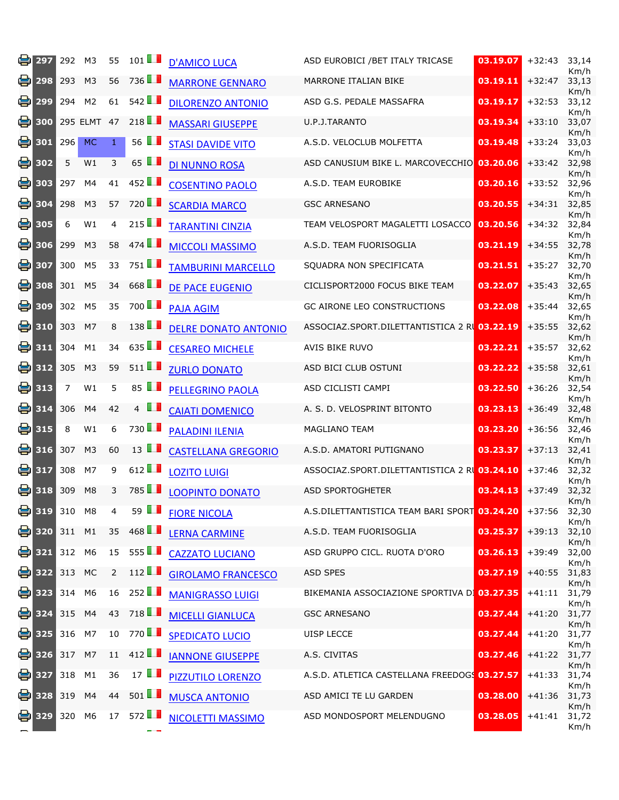| ei | 297                | 292            | M <sub>3</sub> | 55             | 101                   | <b>D'AMICO LUCA</b>         | ASD EUROBICI / BET ITALY TRICASE             | 03.19.07 | $+32:43$ | 33,14<br>Km/h |
|----|--------------------|----------------|----------------|----------------|-----------------------|-----------------------------|----------------------------------------------|----------|----------|---------------|
| 을. | 298                | 293            | M <sub>3</sub> | 56             | 736LL                 | <b>MARRONE GENNARO</b>      | MARRONE ITALIAN BIKE                         | 03.19.11 | $+32:47$ | 33,13<br>Km/h |
| 8  | 299                | 294            | M <sub>2</sub> | 61             | 542                   | <b>DILORENZO ANTONIO</b>    | ASD G.S. PEDALE MASSAFRA                     | 03.19.17 | $+32:53$ | 33,12<br>Km/h |
| 8  | 300                |                | 295 ELMT 47    |                | 218 $\Box$            | <b>MASSARI GIUSEPPE</b>     | U.P.J.TARANTO                                | 03.19.34 | $+33:10$ | 33,07<br>Km/h |
| e  | 301                | 296            | <b>MC</b>      | $\mathbf{1}$   | 56 $\blacksquare$     | <b>STASI DAVIDE VITO</b>    | A.S.D. VELOCLUB MOLFETTA                     | 03.19.48 | $+33:24$ | 33,03<br>Km/h |
| 을  | 302                | 5              | W1             | 3              | 65 $\blacksquare$     | <b>DI NUNNO ROSA</b>        | ASD CANUSIUM BIKE L. MARCOVECCHIO            | 03.20.06 | $+33:42$ | 32,98<br>Km/h |
| e  | 303                | 297            | M4             | 41             | 452 $\blacksquare$    | <b>COSENTINO PAOLO</b>      | A.S.D. TEAM EUROBIKE                         | 03.20.16 | $+33:52$ | 32,96<br>Km/h |
| 8  | 304                | 298            | M <sub>3</sub> | 57             | 720 <b>1</b>          | <b>SCARDIA MARCO</b>        | <b>GSC ARNESANO</b>                          | 03.20.55 | $+34:31$ | 32,85<br>Km/h |
| e  | 305                | 6              | W1             | $\overline{4}$ | 215                   | <b>TARANTINI CINZIA</b>     | TEAM VELOSPORT MAGALETTI LOSACCO             | 03.20.56 | $+34:32$ | 32,84<br>Km/h |
| el | 306                | 299            | M <sub>3</sub> | 58             | 474                   | <b>MICCOLI MASSIMO</b>      | A.S.D. TEAM FUORISOGLIA                      | 03.21.19 | $+34:55$ | 32,78<br>Km/h |
| 을  | 307                | 300            | M <sub>5</sub> | 33             | 751 <b>1</b>          | <b>TAMBURINI MARCELLO</b>   | SQUADRA NON SPECIFICATA                      | 03.21.51 | $+35:27$ | 32,70<br>Km/h |
| 8  | 308                | 301            | M <sub>5</sub> | 34             | 668                   | <b>DE PACE EUGENIO</b>      | CICLISPORT2000 FOCUS BIKE TEAM               | 03.22.07 | $+35:43$ | 32,65<br>Km/h |
| ei | 309                | 302            | M <sub>5</sub> | 35             | 700LL                 | <b>PAJA AGIM</b>            | <b>GC AIRONE LEO CONSTRUCTIONS</b>           | 03.22.08 | $+35:44$ | 32,65<br>Km/h |
| 음  | 310                | 303            | M7             | 8              | 138                   | <b>DELRE DONATO ANTONIO</b> | ASSOCIAZ.SPORT.DILETTANTISTICA 2 RL 03.22.19 |          | $+35:55$ | 32,62<br>Km/h |
| el | 311                | 304            | M1             | 34             | 635                   | <b>CESAREO MICHELE</b>      | AVIS BIKE RUVO                               | 03.22.21 | $+35:57$ | 32,62<br>Km/h |
| el | 312                | 305            | M <sub>3</sub> | 59             | $511$ $\blacksquare$  | <b>ZURLO DONATO</b>         | ASD BICI CLUB OSTUNI                         | 03.22.22 | $+35:58$ | 32,61<br>Km/h |
| e  | 313                | $\overline{7}$ | W1             | 5              | 85 $\blacksquare$     | <b>PELLEGRINO PAOLA</b>     | ASD CICLISTI CAMPI                           | 03.22.50 | $+36:26$ | 32,54<br>Km/h |
|    | <b>e</b> 314       | 306            | M4             | 42             | . .<br>$\overline{4}$ | <b>CAIATI DOMENICO</b>      | A. S. D. VELOSPRINT BITONTO                  | 03.23.13 | $+36:49$ | 32,48<br>Km/h |
| 음  | 315                | 8              | W1             | 6              | 730LL                 | <b>PALADINI ILENIA</b>      | MAGLIANO TEAM                                | 03.23.20 | $+36:56$ | 32,46<br>Km/h |
| 음  | 316                | 307            | M <sub>3</sub> | 60             | $13$ $\blacksquare$   | <b>CASTELLANA GREGORIO</b>  | A.S.D. AMATORI PUTIGNANO                     | 03.23.37 | $+37:13$ | 32,41<br>Km/h |
| 음  | 317                | 308            | M7             | 9              | 612                   | <b>LOZITO LUIGI</b>         | ASSOCIAZ.SPORT.DILETTANTISTICA 2 RL 03.24.10 |          | $+37:46$ | 32,32<br>Km/h |
| 음  | 318                | 309            | M <sub>8</sub> | 3              | 785LL                 | <b>LOOPINTO DONATO</b>      | <b>ASD SPORTOGHETER</b>                      | 03.24.13 | $+37:49$ | 32,32<br>Km/h |
|    | <mark>今</mark> 319 | 310            | M8             | 4              | 59 $\blacksquare$     | <b>FIORE NICOLA</b>         | A.S.DILETTANTISTICA TEAM BARI SPORT 03.24.20 |          | $+37:56$ | 32,30<br>Km/h |
|    | ₩ 320              | 311 M1         |                | 35             | 468                   | <b>LERNA CARMINE</b>        | A.S.D. TEAM FUORISOGLIA                      | 03.25.37 | $+39:13$ | 32,10<br>Km/h |
|    | ⊜ 321              | 312 M6         |                | 15             | $555$ $\blacksquare$  | <b>CAZZATO LUCIANO</b>      | ASD GRUPPO CICL. RUOTA D'ORO                 | 03.26.13 | $+39:49$ | 32,00<br>Km/h |
|    | 鲁322               | 313 MC         |                | $\overline{2}$ | 112                   | <b>GIROLAMO FRANCESCO</b>   | <b>ASD SPES</b>                              | 03.27.19 | $+40:55$ | 31,83<br>Km/h |
|    | ᇦ 323              | 314            | M <sub>6</sub> | 16             | 252 $\blacksquare$    | <b>MANIGRASSO LUIGI</b>     | BIKEMANIA ASSOCIAZIONE SPORTIVA DI 03.27.35  |          | $+41:11$ | 31,79<br>Km/h |
|    | ₩ 324              | 315 M4         |                | 43             | 718                   | <b>MICELLI GIANLUCA</b>     | <b>GSC ARNESANO</b>                          | 03.27.44 | $+41:20$ | 31,77<br>Km/h |
|    | ᇦ 325              | 316 M7         |                | 10             | 770 <b>1</b>          | <b>SPEDICATO LUCIO</b>      | UISP LECCE                                   | 03.27.44 | $+41:20$ | 31,77<br>Km/h |
|    | <mark>今</mark> 326 | 317 M7         |                | 11             | 412                   | <b>IANNONE GIUSEPPE</b>     | A.S. CIVITAS                                 | 03.27.46 | $+41:22$ | 31,77<br>Km/h |
|    | ₩ 327              | 318 M1         |                | 36             | 17 $\blacksquare$     | <b>PIZZUTILO LORENZO</b>    | A.S.D. ATLETICA CASTELLANA FREEDOG 03.27.57  |          | $+41:33$ | 31,74<br>Km/h |
|    | ₩ 328              | 319 M4         |                | 44             | $501$ $\blacksquare$  | <b>MUSCA ANTONIO</b>        | ASD AMICI TE LU GARDEN                       | 03.28.00 | $+41:36$ | 31,73<br>Km/h |
|    | 号 329              | 320            | M6             | 17             | 572                   | NICOLETTI MASSIMO           | ASD MONDOSPORT MELENDUGNO                    | 03.28.05 | $+41:41$ | 31,72<br>Km/h |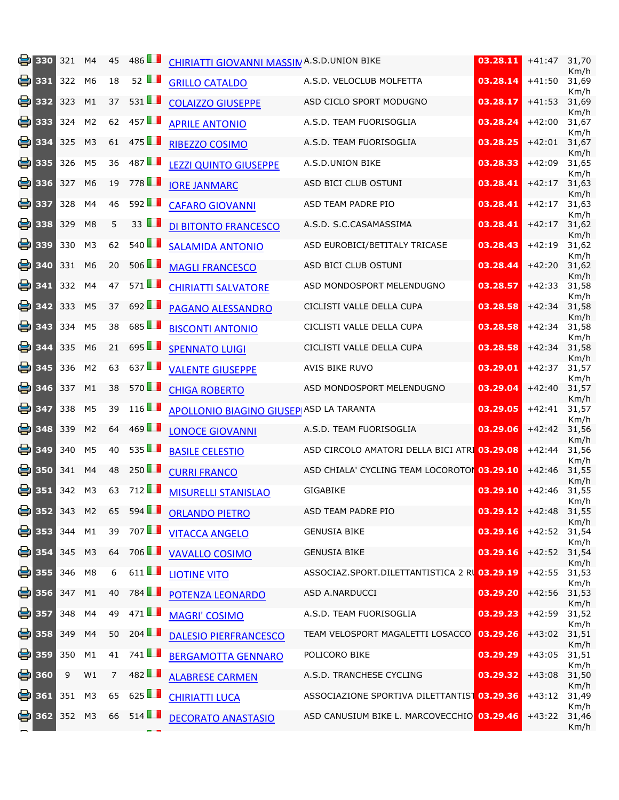| 음  | 330                | 321    | M4             | 45             | 486 <b>T</b>         | <b>CHIRIATTI GIOVANNI MASSIN A.S.D.UNION BIKE</b> |                                              | 03.28.11 | $+41:47$ | 31,70<br>Km/h |
|----|--------------------|--------|----------------|----------------|----------------------|---------------------------------------------------|----------------------------------------------|----------|----------|---------------|
|    | $\bullet$ 331      | 322    | M6             | 18             | 52 $\blacksquare$    | <b>GRILLO CATALDO</b>                             | A.S.D. VELOCLUB MOLFETTA                     | 03.28.14 | $+41:50$ | 31,69<br>Km/h |
| el | 332                | 323    | M1             | 37             | 531                  | <b>COLAIZZO GIUSEPPE</b>                          | ASD CICLO SPORT MODUGNO                      | 03.28.17 | $+41:53$ | 31,69<br>Km/h |
| 음  | 333                | 324    | M <sub>2</sub> | 62             | 457                  | <b>APRILE ANTONIO</b>                             | A.S.D. TEAM FUORISOGLIA                      | 03.28.24 | $+42:00$ | 31,67<br>Km/h |
| 을  | 334                | 325    | M <sub>3</sub> | 61             | 475                  | RIBEZZO COSIMO                                    | A.S.D. TEAM FUORISOGLIA                      | 03.28.25 | $+42:01$ | 31,67<br>Km/h |
| el | 335                | 326    | M <sub>5</sub> | 36             | 487                  | <b>LEZZI QUINTO GIUSEPPE</b>                      | A.S.D.UNION BIKE                             | 03.28.33 | $+42:09$ | 31,65<br>Km/h |
| el | 336                | 327    | M <sub>6</sub> | 19             | 778 <b>1</b>         | <b>IORE JANMARC</b>                               | ASD BICI CLUB OSTUNI                         | 03.28.41 | $+42:17$ | 31,63<br>Km/h |
| e  | 337                | 328    | M4             | 46             | 592                  | <b>CAFARO GIOVANNI</b>                            | ASD TEAM PADRE PIO                           | 03.28.41 | $+42:17$ | 31,63<br>Km/h |
| el | 338                | 329    | M <sub>8</sub> | 5              | 33 $\blacksquare$    | DI BITONTO FRANCESCO                              | A.S.D. S.C.CASAMASSIMA                       | 03.28.41 | $+42:17$ | 31,62<br>Km/h |
|    | 昌 339              | 330    | M3             | 62             | $540$ $\blacksquare$ | <b>SALAMIDA ANTONIO</b>                           | ASD EUROBICI/BETITALY TRICASE                | 03.28.43 | $+42:19$ | 31,62<br>Km/h |
| 음  | 340                | 331    | M <sub>6</sub> | 20             | 506 $\blacksquare$   | <b>MAGLI FRANCESCO</b>                            | ASD BICI CLUB OSTUNI                         | 03.28.44 | $+42:20$ | 31,62<br>Km/h |
| ei | 341                | 332    | M4             | 47             | 571                  | <b>CHIRIATTI SALVATORE</b>                        | ASD MONDOSPORT MELENDUGNO                    | 03.28.57 | $+42:33$ | 31,58<br>Km/h |
| 음  | 342                | 333    | M <sub>5</sub> | 37             | 692                  | <b>PAGANO ALESSANDRO</b>                          | CICLISTI VALLE DELLA CUPA                    | 03.28.58 | $+42:34$ | 31,58<br>Km/h |
| 음  | 343                | 334    | M <sub>5</sub> | 38             | 685 $\blacksquare$   | <b>BISCONTI ANTONIO</b>                           | CICLISTI VALLE DELLA CUPA                    | 03.28.58 | $+42:34$ | 31,58<br>Km/h |
| 음  | 344                | 335    | M <sub>6</sub> | 21             | 695 $\Box$           | <b>SPENNATO LUIGI</b>                             | CICLISTI VALLE DELLA CUPA                    | 03.28.58 | $+42:34$ | 31,58<br>Km/h |
| ei | 345                | 336    | M <sub>2</sub> | 63             | 637                  | <b>VALENTE GIUSEPPE</b>                           | AVIS BIKE RUVO                               | 03.29.01 | $+42:37$ | 31,57<br>Km/h |
| el | 346                | 337    | M1             | 38             | 570 <b>1</b>         | <b>CHIGA ROBERTO</b>                              | ASD MONDOSPORT MELENDUGNO                    | 03.29.04 | $+42:40$ | 31,57<br>Km/h |
| 음  | 347                | 338    | M <sub>5</sub> | 39             | 116                  | <b>APOLLONIO BIAGINO GIUSEP ASD LA TARANTA</b>    |                                              | 03.29.05 | $+42:41$ | 31,57<br>Km/h |
| el | 348                | 339    | M <sub>2</sub> | 64             | $469$ $\blacksquare$ | <b>LONOCE GIOVANNI</b>                            | A.S.D. TEAM FUORISOGLIA                      | 03.29.06 | $+42:42$ | 31,56<br>Km/h |
| ei | 349                | 340    | M <sub>5</sub> | 40             | 535                  | <b>BASILE CELESTIO</b>                            | ASD CIRCOLO AMATORI DELLA BICI ATRI 03.29.08 |          | $+42:44$ | 31,56<br>Km/h |
| el | 350                | 341    | M <sub>4</sub> | 48             | 250                  | <b>CURRI FRANCO</b>                               | ASD CHIALA' CYCLING TEAM LOCOROTO 03.29.10   |          | $+42:46$ | 31,55<br>Km/h |
| 음  | 351                | 342    | M3             | 63             | 712                  | <b>MISURELLI STANISLAO</b>                        | <b>GIGABIKE</b>                              | 03.29.10 | $+42:46$ | 31,55<br>Km/h |
|    | <mark>今</mark> 352 | 343    | M <sub>2</sub> | 65             | 594                  | <b>ORLANDO PIETRO</b>                             | ASD TEAM PADRE PIO                           | 03.29.12 | $+42:48$ | 31,55<br>Km/h |
|    | 号 353              | 344    | M1             | 39             | 707LL                | <b>VITACCA ANGELO</b>                             | <b>GENUSIA BIKE</b>                          | 03.29.16 | $+42:52$ | 31,54<br>Km/h |
|    | $\bullet$ 354      | 345    | M <sub>3</sub> |                | 64 706               | <b>VAVALLO COSIMO</b>                             | <b>GENUSIA BIKE</b>                          | 03.29.16 | $+42:52$ | 31,54<br>Km/h |
|    | <b>e</b> 355       | 346    | M8             | 6              | 611 $\blacksquare$   | <b>LIOTINE VITO</b>                               | ASSOCIAZ.SPORT.DILETTANTISTICA 2 R 03.29.19  |          | $+42:55$ | 31,53<br>Km/h |
|    | 号 356              | 347    | M1             | 40             | 784 <b>1</b>         | POTENZA LEONARDO                                  | ASD A.NARDUCCI                               | 03.29.20 | $+42:56$ | 31,53<br>Km/h |
|    | 号 357              | 348    | M4             | 49             | 471 $\blacksquare$   | <b>MAGRI' COSIMO</b>                              | A.S.D. TEAM FUORISOGLIA                      | 03.29.23 | $+42:59$ | 31,52<br>Km/h |
|    | 号 358              | 349    | M4             | 50             | 204                  | <b>DALESIO PIERFRANCESCO</b>                      | <b>TEAM VELOSPORT MAGALETTI LOSACCO</b>      | 03.29.26 | $+43:02$ | 31,51<br>Km/h |
|    | ⊜ 359              | 350    | M1             | 41             | 741                  | <b>BERGAMOTTA GENNARO</b>                         | POLICORO BIKE                                | 03.29.29 | $+43:05$ | 31,51<br>Km/h |
|    | 号 360              | 9      | W1             | $\overline{7}$ | 482                  | <b>ALABRESE CARMEN</b>                            | A.S.D. TRANCHESE CYCLING                     | 03.29.32 | $+43:08$ | 31,50<br>Km/h |
|    | $\frac{1}{2}$ 361  | 351    | M <sub>3</sub> | 65             | 625 $\Box$           | <b>CHIRIATTI LUCA</b>                             | ASSOCIAZIONE SPORTIVA DILETTANTIS 03.29.36   |          | $+43:12$ | 31,49<br>Km/h |
|    | 号 362              | 352 M3 |                | 66             | 514                  | <b>DECORATO ANASTASIO</b>                         | ASD CANUSIUM BIKE L. MARCOVECCHIO 03.29.46   |          | $+43:22$ | 31,46<br>Km/h |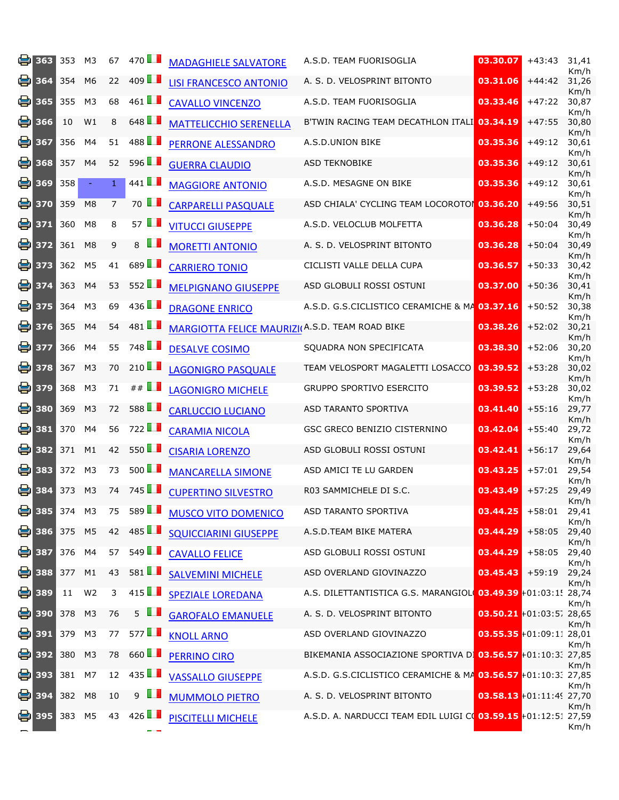| 홍  | 363                | 353    | M <sub>3</sub> | 67             | 470                  | <b>MADAGHIELE SALVATORE</b>                    | A.S.D. TEAM FUORISOGLIA                                             | 03.30.07                   | $+43:43$     | 31,41<br>Km/h |
|----|--------------------|--------|----------------|----------------|----------------------|------------------------------------------------|---------------------------------------------------------------------|----------------------------|--------------|---------------|
| ei | 364                | 354    | M <sub>6</sub> | 22             | 409 $\Box$           | <b>LISI FRANCESCO ANTONIO</b>                  | A. S. D. VELOSPRINT BITONTO                                         | 03.31.06                   | $+44:42$     | 31,26<br>Km/h |
| e  | 365                | 355    | M <sub>3</sub> | 68             | 461 $\blacksquare$   | <b>CAVALLO VINCENZO</b>                        | A.S.D. TEAM FUORISOGLIA                                             | 03.33.46                   | $+47:22$     | 30,87<br>Km/h |
| 을. | 366                | 10     | W1             | 8              | 648 $\Box$           | <b>MATTELICCHIO SERENELLA</b>                  | B'TWIN RACING TEAM DECATHLON ITALI 03.34.19                         |                            | $+47:55$     | 30,80<br>Km/h |
| el | 367                | 356    | M <sub>4</sub> | 51             | 488 <b>1</b>         | <b>PERRONE ALESSANDRO</b>                      | A.S.D.UNION BIKE                                                    | 03.35.36                   | $+49:12$     | 30,61<br>Km/h |
| el | 368                | 357    | M4             | 52             | 596                  | <b>GUERRA CLAUDIO</b>                          | <b>ASD TEKNOBIKE</b>                                                | 03.35.36                   | $+49:12$     | 30,61<br>Km/h |
| e  | 369                | 358    | $\equiv$       | $\mathbf{1}$   | 441 $\blacksquare$   | <b>MAGGIORE ANTONIO</b>                        | A.S.D. MESAGNE ON BIKE                                              | 03.35.36                   | $+49:12$     | 30,61<br>Km/h |
| ei | 370                | 359    | M <sub>8</sub> | $\overline{7}$ | 70 <b>1</b>          | <b>CARPARELLI PASQUALE</b>                     | ASD CHIALA' CYCLING TEAM LOCOROTOI 03.36.20                         |                            | $+49:56$     | 30,51<br>Km/h |
|    | ₩ 371              | 360    | M8             | 8              | 57 $\blacksquare$    | <b>VITUCCI GIUSEPPE</b>                        | A.S.D. VELOCLUB MOLFETTA                                            | 03.36.28                   | $+50:04$     | 30,49<br>Km/h |
|    | 昌 372              | 361    | M <sub>8</sub> | 9              | ш<br>8               | <b>MORETTI ANTONIO</b>                         | A. S. D. VELOSPRINT BITONTO                                         | 03.36.28                   | $+50:04$     | 30,49<br>Km/h |
| 음  | 373                | 362    | M <sub>5</sub> | 41             | 689                  | <b>CARRIERO TONIO</b>                          | CICLISTI VALLE DELLA CUPA                                           | 03.36.57                   | $+50:33$     | 30,42<br>Km/h |
| ei | 374                | 363    | M4             | 53             | 552                  | <b>MELPIGNANO GIUSEPPE</b>                     | ASD GLOBULI ROSSI OSTUNI                                            | 03.37.00                   | $+50:36$     | 30,41<br>Km/h |
|    | ■ 375              | 364    | M <sub>3</sub> | 69             | 436                  | <b>DRAGONE ENRICO</b>                          | A.S.D. G.S.CICLISTICO CERAMICHE & MA 03.37.16                       |                            | $+50:52$     | 30,38<br>Km/h |
| 음  | 376                | 365    | M4             | 54             | 481                  | MARGIOTTA FELICE MAURIZI(A.S.D. TEAM ROAD BIKE |                                                                     | 03.38.26                   | $+52:02$     | 30,21<br>Km/h |
| el | 377                | 366    | M4             | 55             | 748 <b>1</b>         | <b>DESALVE COSIMO</b>                          | SQUADRA NON SPECIFICATA                                             | 03.38.30                   | $+52:06$     | 30,20<br>Km/h |
| 음  | 378                | 367    | M <sub>3</sub> | 70             | 210 $\blacksquare$   | <b>LAGONIGRO PASQUALE</b>                      | TEAM VELOSPORT MAGALETTI LOSACCO                                    | 03.39.52                   | $+53:28$     | 30,02<br>Km/h |
| el | 379                | 368    | M3             | 71             | $\#$ $\blacksquare$  | <b>LAGONIGRO MICHELE</b>                       | <b>GRUPPO SPORTIVO ESERCITO</b>                                     | 03.39.52                   | $+53:28$     | 30,02<br>Km/h |
| el | 380                | 369    | M <sub>3</sub> | 72             | 588 <b>1</b>         | <b>CARLUCCIO LUCIANO</b>                       | ASD TARANTO SPORTIVA                                                | 03.41.40                   | $+55:16$     | 29,77<br>Km/h |
| e  | 381                | 370    | M4             | 56             | 722                  | <b>CARAMIA NICOLA</b>                          | GSC GRECO BENIZIO CISTERNINO                                        | 03.42.04                   | $+55:40$     | 29,72<br>Km/h |
| e  | 382                | 371    | M1             | 42             | 550                  | <b>CISARIA LORENZO</b>                         | ASD GLOBULI ROSSI OSTUNI                                            | 03.42.41                   | $+56:17$     | 29,64<br>Km/h |
| el | 383                | 372    | M3             | 73             | 500 $\blacksquare$   | <b>MANCARELLA SIMONE</b>                       | ASD AMICI TE LU GARDEN                                              | 03.43.25                   | $+57:01$     | 29,54<br>Km/h |
| 음  | 384                | 373    | M <sub>3</sub> | 74             | 745                  | <b>CUPERTINO SILVESTRO</b>                     | R03 SAMMICHELE DI S.C.                                              | 03.43.49                   | $+57:25$     | 29,49<br>Km/h |
|    | 兽 385              | 374    | M3             | 75             | $589$ $\blacksquare$ | <b>MUSCO VITO DOMENICO</b>                     | ASD TARANTO SPORTIVA                                                | 03.44.25                   | +58:01 29,41 | Km/h          |
|    | ₩ 386              | 375 M5 |                | 42             | 485                  | <b>SQUICCIARINI GIUSEPPE</b>                   | A.S.D.TEAM BIKE MATERA                                              | 03.44.29                   | $+58:05$     | 29,40<br>Km/h |
|    | 号 387              | 376 M4 |                | 57             | $549$ $\blacksquare$ | <b>CAVALLO FELICE</b>                          | ASD GLOBULI ROSSI OSTUNI                                            | 03.44.29                   | $+58:05$     | 29,40<br>Km/h |
|    | ● 388              | 377    | M1             | 43             | 581                  | <b>SALVEMINI MICHELE</b>                       | ASD OVERLAND GIOVINAZZO                                             | 03.45.43                   | $+59:19$     | 29,24<br>Km/h |
|    | ᇦ 389              | 11     | W <sub>2</sub> | 3              | $415$ $\blacksquare$ | <b>SPEZIALE LOREDANA</b>                       | A.S. DILETTANTISTICA G.S. MARANGIOL 03.49.39 +01:03:1! 28,74        |                            |              | Km/h          |
|    | 号 390              | 378 M3 |                | 76             | $5$ $\blacksquare$   | <b>GAROFALO EMANUELE</b>                       | A. S. D. VELOSPRINT BITONTO                                         | $03.50.21 + 01:03:5728,65$ |              | Km/h          |
|    | <b>B</b> 391       | 379    | M <sub>3</sub> | 77             | 577                  | <b>KNOLL ARNO</b>                              | ASD OVERLAND GIOVINAZZO                                             | 03.55.35 +01:09:11 28,01   |              | Km/h          |
|    | ⊜ 392              | 380    | M <sub>3</sub> | 78             | 660 $\blacksquare$   | <b>PERRINO CIRO</b>                            | BIKEMANIA ASSOCIAZIONE SPORTIVA D <b>1 03.56.57</b> +01:10:3: 27,85 |                            |              | Km/h          |
|    | 号 393              | 381 M7 |                | 12             | $435$ $\blacksquare$ | <b>VASSALLO GIUSEPPE</b>                       | A.S.D. G.S.CICLISTICO CERAMICHE & MA 03.56.57 +01:10:3: 27,85       |                            |              | Km/h          |
|    | 号 394              | 382 M8 |                | 10             | w<br>9               | <b>MUMMOLO PIETRO</b>                          | A. S. D. VELOSPRINT BITONTO                                         | 03.58.13 +01:11:49 27,70   |              | Km/h          |
|    | <mark>鲁</mark> 395 | 383 M5 |                | 43             | 426                  | <b>PISCITELLI MICHELE</b>                      | A.S.D. A. NARDUCCI TEAM EDIL LUIGI CO 03.59.15 +01:12:51 27,59      |                            |              | Km/h          |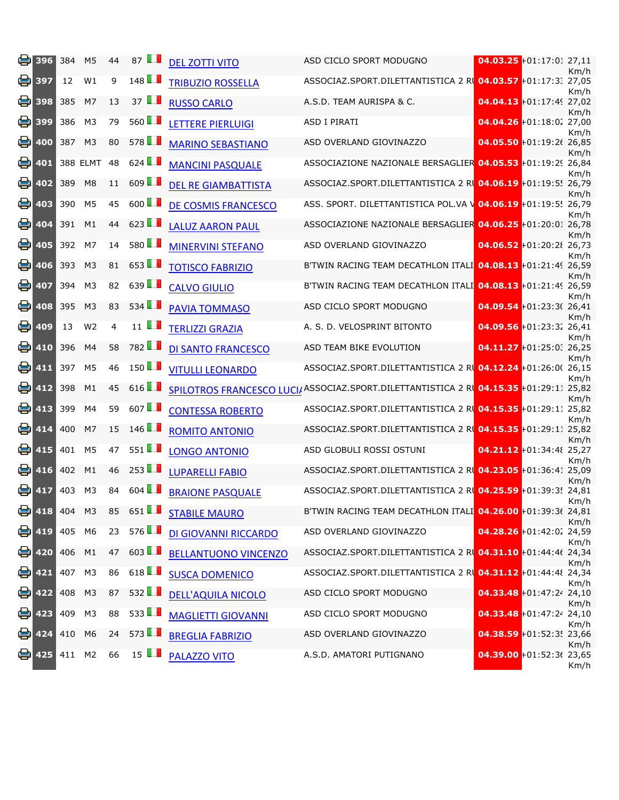| e. | 396               | 384                   | M <sub>5</sub> | 44             | 87 $\blacksquare$    | <b>DEL ZOTTI VITO</b>       | ASD CICLO SPORT MODUGNO                                                               |                            | 04.03.25 +01:17:01 27,11    | Km/h |
|----|-------------------|-----------------------|----------------|----------------|----------------------|-----------------------------|---------------------------------------------------------------------------------------|----------------------------|-----------------------------|------|
| e. | 397               | 12                    | W1             | 9              | 148                  | <b>TRIBUZIO ROSSELLA</b>    | ASSOCIAZ.SPORT.DILETTANTISTICA 2 R 04.03.57 +01:17:3: 27,05                           |                            |                             | Km/h |
| e. | 398               | 385                   | M7             | 13             | 37 $\blacksquare$    | <b>RUSSO CARLO</b>          | A.S.D. TEAM AURISPA & C.                                                              |                            | 04.04.13 +01:17:49 27,02    | Km/h |
| e, | 399               | 386                   | M <sub>3</sub> | 79             | 560LL                | <b>LETTERE PIERLUIGI</b>    | <b>ASD I PIRATI</b>                                                                   |                            | $04.04.26 + 01:18:0227,00$  | Km/h |
| 8  | 400               | 387                   | M <sub>3</sub> | 80             | 578 <b>1</b>         | <b>MARINO SEBASTIANO</b>    | ASD OVERLAND GIOVINAZZO                                                               |                            | 04.05.50 +01:19:26 26,85    | Km/h |
| e  | 401               |                       | 388 ELMT       | 48             | 624                  | <b>MANCINI PASQUALE</b>     | ASSOCIAZIONE NAZIONALE BERSAGLIER 04.05.53 +01:19:29 26,84                            |                            |                             | Km/h |
| e  | 402               | 389                   | M <sub>8</sub> | 11             | $609$ $\blacksquare$ | <b>DEL RE GIAMBATTISTA</b>  | ASSOCIAZ.SPORT.DILETTANTISTICA 2 R 04.06.19 +01:19:5! 26,79                           |                            |                             | Km/h |
| e  | 403               | 390                   | M <sub>5</sub> | 45             | 600 $\Box$           | DE COSMIS FRANCESCO         | ASS. SPORT. DILETTANTISTICA POL.VA \ 04.06.19 +01:19:5! 26,79                         |                            |                             | Km/h |
| 8  | 404               | 391                   | M1             | 44             | 623                  | <b>LALUZ AARON PAUL</b>     | ASSOCIAZIONE NAZIONALE BERSAGLIER 04.06.25 +01:20:01 26,78                            |                            |                             | Km/h |
| e  | 405               | 392                   | M7             | 14             | 580 LL               | <b>MINERVINI STEFANO</b>    | ASD OVERLAND GIOVINAZZO                                                               |                            | $04.06.52 + 01:20:28$ 26,73 | Km/h |
| e  | 406               | 393                   | M <sub>3</sub> | 81             | 653                  | <b>TOTISCO FABRIZIO</b>     | B'TWIN RACING TEAM DECATHLON ITALI 04.08.13 +01:21:49 26,59                           |                            |                             | Km/h |
| 8  | 407               | 394                   | M <sub>3</sub> | 82             | 639                  | <b>CALVO GIULIO</b>         | B'TWIN RACING TEAM DECATHLON ITALI 04.08.13 +01:21:49 26,59                           |                            |                             | Km/h |
| 8  | 408               | 395                   | M <sub>3</sub> | 83             | $534$ $\blacksquare$ | <b>PAVIA TOMMASO</b>        | ASD CICLO SPORT MODUGNO                                                               |                            | 04.09.54 +01:23:3( 26,41    | Km/h |
| e  | 409               | 13                    | W <sub>2</sub> | $\overline{4}$ | $11$ $\blacksquare$  | <b>TERLIZZI GRAZIA</b>      | A. S. D. VELOSPRINT BITONTO                                                           |                            | 04.09.56 +01:23:32 26,41    | Km/h |
|    | $\bullet$ 410     | 396                   | M4             | 58             | 782 <b>1</b>         | <b>DI SANTO FRANCESCO</b>   | ASD TEAM BIKE EVOLUTION                                                               |                            | $04.11.27 + 01:25:0226,25$  | Km/h |
| e  | 411               | 397                   | M <sub>5</sub> | 46             | $150$ $\Box$         | <b>VITULLI LEONARDO</b>     | ASSOCIAZ.SPORT.DILETTANTISTICA 2 R 04.12.24 +01:26:0( 26,15                           |                            |                             | Km/h |
| e. | 412               | 398                   | M1             | 45             | 616                  |                             | SPILOTROS FRANCESCO LUCI/ASSOCIAZ.SPORT.DILETTANTISTICA 2 RI 04.15.35 +01:29:11 25,82 |                            |                             | Km/h |
|    | $\frac{1}{2}$ 413 | 399                   | M <sub>4</sub> | 59             | 607 $\blacksquare$   | <b>CONTESSA ROBERTO</b>     | ASSOCIAZ.SPORT.DILETTANTISTICA 2 R 04.15.35 +01:29:11 25,82                           |                            |                             | Km/h |
| е. | 414               | 400                   | M7             | 15             | 146                  | <b>ROMITO ANTONIO</b>       | ASSOCIAZ.SPORT.DILETTANTISTICA 2 RL 04.15.35 +01:29:11 25,82                          |                            |                             | Km/h |
| 을. | 415               | 401                   | M <sub>5</sub> | 47             | $551$ $\blacksquare$ | <b>LONGO ANTONIO</b>        | ASD GLOBULI ROSSI OSTUNI                                                              | 04.21.12 +01:34:48 25,27   |                             | Km/h |
| 9  | 416               | 402                   | M1             | 46             | 253                  | <b>LUPARELLI FABIO</b>      | ASSOCIAZ.SPORT.DILETTANTISTICA 2 RI 04.23.05 +01:36:41 25,09                          |                            |                             | Km/h |
|    | $\bullet$ 417     | 403                   | M3             | 84             | 604                  | <b>BRAIONE PASQUALE</b>     | ASSOCIAZ.SPORT.DILETTANTISTICA 2 RI 04.25.59 +01:39:3! 24,81                          |                            |                             | Km/h |
|    |                   | $\frac{1}{2}$ 418 404 | M <sub>3</sub> |                | 85 651               | <b>STABILE MAURO</b>        | B'TWIN RACING TEAM DECATHLON ITALI 04.26.00 +01:39:36 24,81                           |                            |                             | Km/h |
|    | 兽 419             | 405                   | M6             | 23             | 576                  | DI GIOVANNI RICCARDO        | ASD OVERLAND GIOVINAZZO                                                               | $04.28.26 + 01:42:0224,59$ |                             | Km/h |
|    | 号 420             | 406 M1                |                |                | 47 603               | <b>BELLANTUONO VINCENZO</b> | ASSOCIAZ.SPORT.DILETTANTISTICA 2 RL 04.31.10 +01:44:46 24,34                          |                            |                             | Km/h |
|    | <b>P</b> 421      | 407                   | M <sub>3</sub> | 86             | 618 $\blacksquare$   | <b>SUSCA DOMENICO</b>       | ASSOCIAZ.SPORT.DILETTANTISTICA 2 R 04.31.12 +01:44:48 24,34                           |                            |                             | Km/h |
|    | 를 422             | 408                   | M <sub>3</sub> | 87             | 532                  | <b>DELL'AQUILA NICOLO</b>   | ASD CICLO SPORT MODUGNO                                                               |                            | $04.33.48 + 01:47:2424,10$  | Km/h |
|    | 兽 423             | 409                   | M <sub>3</sub> | 88             | $533$ $\blacksquare$ | <b>MAGLIETTI GIOVANNI</b>   | ASD CICLO SPORT MODUGNO                                                               |                            | $04.33.48 + 01:47:2424,10$  | Km/h |
|    | $\bullet$ 424     | 410 M6                |                |                | 24 573               | <b>BREGLIA FABRIZIO</b>     | ASD OVERLAND GIOVINAZZO                                                               |                            | 04.38.59 +01:52:3! 23,66    | Km/h |
|    | ed 425            | 411 M2                |                | 66             | $15$ $\blacksquare$  | <b>PALAZZO VITO</b>         | A.S.D. AMATORI PUTIGNANO                                                              | 04.39.00 + 01:52:36 23,65  |                             | Km/h |